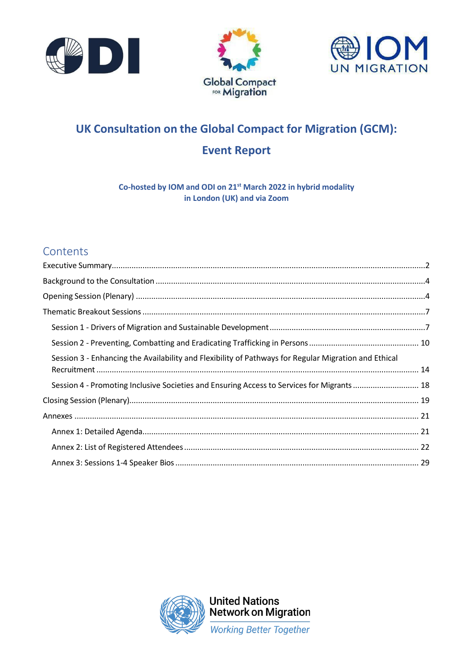





# **UK Consultation on the Global Compact for Migration (GCM): Event Report**

**Co-hosted by IOM and ODI on 21st March 2022 in hybrid modality in London (UK) and via Zoom**

## **Contents**

| Session 3 - Enhancing the Availability and Flexibility of Pathways for Regular Migration and Ethical |  |
|------------------------------------------------------------------------------------------------------|--|
| Session 4 - Promoting Inclusive Societies and Ensuring Access to Services for Migrants  18           |  |
|                                                                                                      |  |
|                                                                                                      |  |
|                                                                                                      |  |
|                                                                                                      |  |
|                                                                                                      |  |

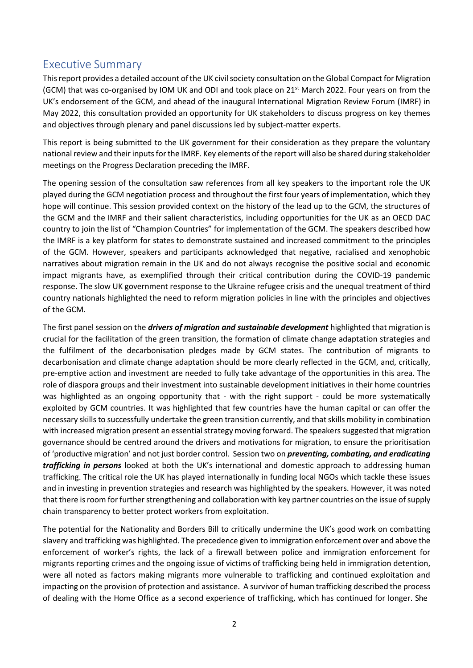## <span id="page-1-0"></span>Executive Summary

This report provides a detailed account of the UK civil society consultation on the Global Compact for Migration (GCM) that was co-organised by IOM UK and ODI and took place on 21st March 2022. Four years on from the UK's endorsement of the GCM, and ahead of the inaugural International Migration Review Forum (IMRF) in May 2022, this consultation provided an opportunity for UK stakeholders to discuss progress on key themes and objectives through plenary and panel discussions led by subject-matter experts.

This report is being submitted to the UK government for their consideration as they prepare the voluntary national review and their inputs for the IMRF. Key elements of the report will also be shared during stakeholder meetings on the Progress Declaration preceding the IMRF.

The opening session of the consultation saw references from all key speakers to the important role the UK played during the GCM negotiation process and throughout the first four years of implementation, which they hope will continue. This session provided context on the history of the lead up to the GCM, the structures of the GCM and the IMRF and their salient characteristics, including opportunities for the UK as an OECD DAC country to join the list of "Champion Countries" for implementation of the GCM. The speakers described how the IMRF is a key platform for states to demonstrate sustained and increased commitment to the principles of the GCM. However, speakers and participants acknowledged that negative, racialised and xenophobic narratives about migration remain in the UK and do not always recognise the positive social and economic impact migrants have, as exemplified through their critical contribution during the COVID-19 pandemic response. The slow UK government response to the Ukraine refugee crisis and the unequal treatment of third country nationals highlighted the need to reform migration policies in line with the principles and objectives of the GCM.

The first panel session on the *drivers of migration and sustainable development* highlighted that migration is crucial for the facilitation of the green transition, the formation of climate change adaptation strategies and the fulfilment of the decarbonisation pledges made by GCM states. The contribution of migrants to decarbonisation and climate change adaptation should be more clearly reflected in the GCM, and, critically, pre-emptive action and investment are needed to fully take advantage of the opportunities in this area. The role of diaspora groups and their investment into sustainable development initiatives in their home countries was highlighted as an ongoing opportunity that - with the right support - could be more systematically exploited by GCM countries. It was highlighted that few countries have the human capital or can offer the necessary skills to successfully undertake the green transition currently, and that skills mobility in combination with increased migration present an essential strategy moving forward. The speakers suggested that migration governance should be centred around the drivers and motivations for migration, to ensure the prioritisation of 'productive migration' and not just border control. Session two on *preventing, combating, and eradicating trafficking in persons* looked at both the UK's international and domestic approach to addressing human trafficking. The critical role the UK has played internationally in funding local NGOs which tackle these issues and in investing in prevention strategies and research was highlighted by the speakers. However, it was noted that there is room for further strengthening and collaboration with key partner countries on the issue of supply chain transparency to better protect workers from exploitation.

The potential for the Nationality and Borders Bill to critically undermine the UK's good work on combatting slavery and trafficking was highlighted. The precedence given to immigration enforcement over and above the enforcement of worker's rights, the lack of a firewall between police and immigration enforcement for migrants reporting crimes and the ongoing issue of victims of trafficking being held in immigration detention, were all noted as factors making migrants more vulnerable to trafficking and continued exploitation and impacting on the provision of protection and assistance. A survivor of human trafficking described the process of dealing with the Home Office as a second experience of trafficking, which has continued for longer. She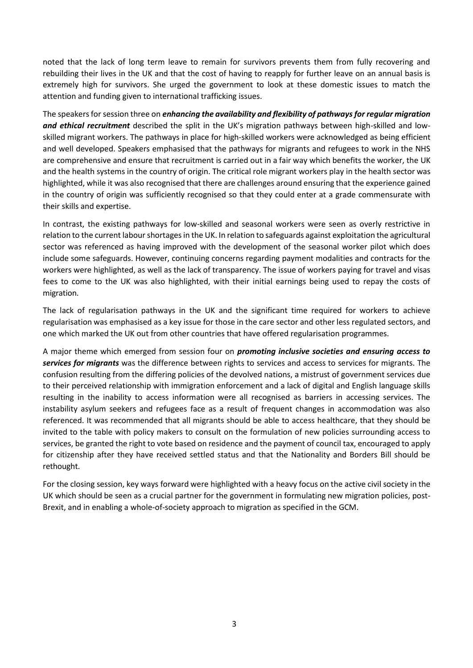noted that the lack of long term leave to remain for survivors prevents them from fully recovering and rebuilding their lives in the UK and that the cost of having to reapply for further leave on an annual basis is extremely high for survivors. She urged the government to look at these domestic issues to match the attention and funding given to international trafficking issues.

The speakersfor session three on *enhancing the availability and flexibility of pathwaysfor regular migration*  and ethical recruitment described the split in the UK's migration pathways between high-skilled and lowskilled migrant workers. The pathways in place for high-skilled workers were acknowledged as being efficient and well developed. Speakers emphasised that the pathways for migrants and refugees to work in the NHS are comprehensive and ensure that recruitment is carried out in a fair way which benefits the worker, the UK and the health systems in the country of origin. The critical role migrant workers play in the health sector was highlighted, while it was also recognised that there are challenges around ensuring that the experience gained in the country of origin was sufficiently recognised so that they could enter at a grade commensurate with their skills and expertise.

In contrast, the existing pathways for low-skilled and seasonal workers were seen as overly restrictive in relation to the current labour shortages in the UK. In relation to safeguards against exploitation the agricultural sector was referenced as having improved with the development of the seasonal worker pilot which does include some safeguards. However, continuing concerns regarding payment modalities and contracts for the workers were highlighted, as well as the lack of transparency. The issue of workers paying for travel and visas fees to come to the UK was also highlighted, with their initial earnings being used to repay the costs of migration.

The lack of regularisation pathways in the UK and the significant time required for workers to achieve regularisation was emphasised as a key issue for those in the care sector and other less regulated sectors, and one which marked the UK out from other countries that have offered regularisation programmes.

A major theme which emerged from session four on *promoting inclusive societies and ensuring access to services for migrants* was the difference between rights to services and access to services for migrants. The confusion resulting from the differing policies of the devolved nations, a mistrust of government services due to their perceived relationship with immigration enforcement and a lack of digital and English language skills resulting in the inability to access information were all recognised as barriers in accessing services. The instability asylum seekers and refugees face as a result of frequent changes in accommodation was also referenced. It was recommended that all migrants should be able to access healthcare, that they should be invited to the table with policy makers to consult on the formulation of new policies surrounding access to services, be granted the right to vote based on residence and the payment of council tax, encouraged to apply for citizenship after they have received settled status and that the Nationality and Borders Bill should be rethought.

For the closing session, key ways forward were highlighted with a heavy focus on the active civil society in the UK which should be seen as a crucial partner for the government in formulating new migration policies, post-Brexit, and in enabling a whole-of-society approach to migration as specified in the GCM.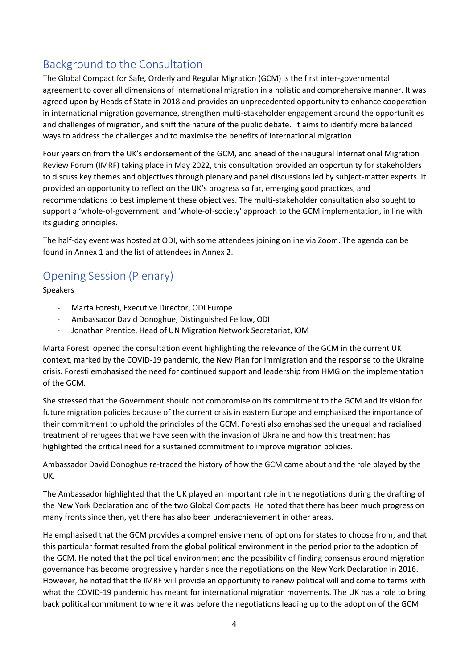## <span id="page-3-0"></span>Background to the Consultation

The Global Compact for Safe, Orderly and Regular Migration (GCM) is the first inter-governmental agreement to cover all dimensions of international migration in a holistic and comprehensive manner. It was agreed upon by Heads of State in 2018 and provides an unprecedented opportunity to enhance cooperation in international migration governance, strengthen multi-stakeholder engagement around the opportunities and challenges of migration, and shift the nature of the public debate. It aims to identify more balanced ways to address the challenges and to maximise the benefits of international migration.

Four years on from the UK's endorsement of the GCM, and ahead of the inaugural International Migration Review Forum (IMRF) taking place in May 2022, this consultation provided an opportunity for stakeholders to discuss key themes and objectives through plenary and panel discussions led by subject-matter experts. It provided an opportunity to reflect on the UK's progress so far, emerging good practices, and recommendations to best implement these objectives. The multi-stakeholder consultation also sought to support a 'whole-of-government' and 'whole-of-society' approach to the GCM implementation, in line with its guiding principles.

The half-day event was hosted at ODI, with some attendees joining online via Zoom. The agenda can be found in Annex 1 and the list of attendees in Annex 2.

## <span id="page-3-1"></span>Opening Session (Plenary)

Speakers

- Marta Foresti, Executive Director, ODI Europe
- Ambassador David Donoghue, Distinguished Fellow, ODI
- Jonathan Prentice, Head of UN Migration Network Secretariat, IOM

Marta Foresti opened the consultation event highlighting the relevance of the GCM in the current UK context, marked by the COVID-19 pandemic, the New Plan for Immigration and the response to the Ukraine crisis. Foresti emphasised the need for continued support and leadership from HMG on the implementation of the GCM.

She stressed that the Government should not compromise on its commitment to the GCM and its vision for future migration policies because of the current crisis in eastern Europe and emphasised the importance of their commitment to uphold the principles of the GCM. Foresti also emphasised the unequal and racialised treatment of refugees that we have seen with the invasion of Ukraine and how this treatment has highlighted the critical need for a sustained commitment to improve migration policies.

Ambassador David Donoghue re-traced the history of how the GCM came about and the role played by the UK.

The Ambassador highlighted that the UK played an important role in the negotiations during the drafting of the New York Declaration and of the two Global Compacts. He noted that there has been much progress on many fronts since then, yet there has also been underachievement in other areas.

He emphasised that the GCM provides a comprehensive menu of options for states to choose from, and that this particular format resulted from the global political environment in the period prior to the adoption of the GCM. He noted that the political environment and the possibility of finding consensus around migration governance has become progressively harder since the negotiations on the New York Declaration in 2016. However, he noted that the IMRF will provide an opportunity to renew political will and come to terms with what the COVID-19 pandemic has meant for international migration movements. The UK has a role to bring back political commitment to where it was before the negotiations leading up to the adoption of the GCM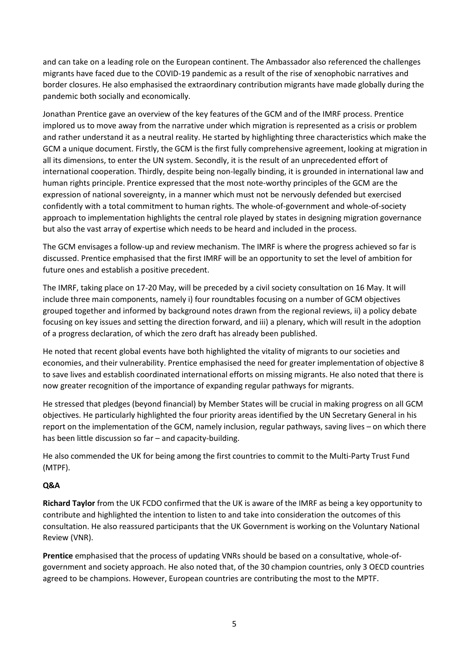and can take on a leading role on the European continent. The Ambassador also referenced the challenges migrants have faced due to the COVID-19 pandemic as a result of the rise of xenophobic narratives and border closures. He also emphasised the extraordinary contribution migrants have made globally during the pandemic both socially and economically.

Jonathan Prentice gave an overview of the key features of the GCM and of the IMRF process. Prentice implored us to move away from the narrative under which migration is represented as a crisis or problem and rather understand it as a neutral reality. He started by highlighting three characteristics which make the GCM a unique document. Firstly, the GCM is the first fully comprehensive agreement, looking at migration in all its dimensions, to enter the UN system. Secondly, it is the result of an unprecedented effort of international cooperation. Thirdly, despite being non-legally binding, it is grounded in international law and human rights principle. Prentice expressed that the most note-worthy principles of the GCM are the expression of national sovereignty, in a manner which must not be nervously defended but exercised confidently with a total commitment to human rights. The whole-of-government and whole-of-society approach to implementation highlights the central role played by states in designing migration governance but also the vast array of expertise which needs to be heard and included in the process.

The GCM envisages a follow-up and review mechanism. The IMRF is where the progress achieved so far is discussed. Prentice emphasised that the first IMRF will be an opportunity to set the level of ambition for future ones and establish a positive precedent.

The IMRF, taking place on 17-20 May, will be preceded by a civil society consultation on 16 May. It will include three main components, namely i) four roundtables focusing on a number of GCM objectives grouped together and informed by background notes drawn from the regional reviews, ii) a policy debate focusing on key issues and setting the direction forward, and iii) a plenary, which will result in the adoption of a progress declaration, of which the zero draft has already been published.

He noted that recent global events have both highlighted the vitality of migrants to our societies and economies, and their vulnerability. Prentice emphasised the need for greater implementation of objective 8 to save lives and establish coordinated international efforts on missing migrants. He also noted that there is now greater recognition of the importance of expanding regular pathways for migrants.

He stressed that pledges (beyond financial) by Member States will be crucial in making progress on all GCM objectives. He particularly highlighted the four priority areas identified by the UN Secretary General in his report on the implementation of the GCM, namely inclusion, regular pathways, saving lives – on which there has been little discussion so far – and capacity-building.

He also commended the UK for being among the first countries to commit to the Multi-Party Trust Fund (MTPF).

## **Q&A**

**Richard Taylor** from the UK FCDO confirmed that the UK is aware of the IMRF as being a key opportunity to contribute and highlighted the intention to listen to and take into consideration the outcomes of this consultation. He also reassured participants that the UK Government is working on the Voluntary National Review (VNR).

**Prentice** emphasised that the process of updating VNRs should be based on a consultative, whole-ofgovernment and society approach. He also noted that, of the 30 champion countries, only 3 OECD countries agreed to be champions. However, European countries are contributing the most to the MPTF.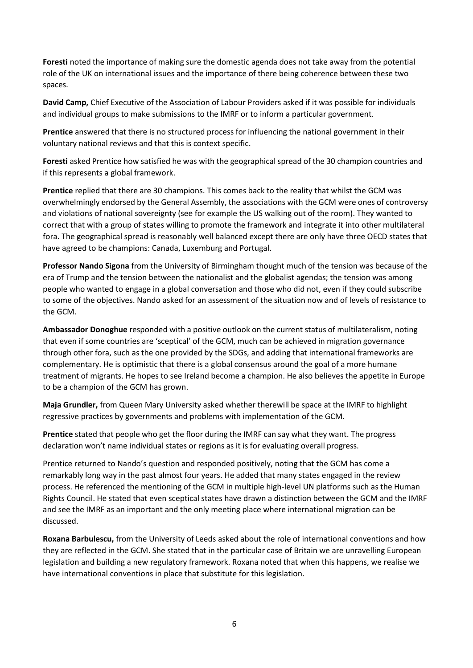**Foresti** noted the importance of making sure the domestic agenda does not take away from the potential role of the UK on international issues and the importance of there being coherence between these two spaces.

**David Camp,** Chief Executive of the Association of Labour Providers asked if it was possible for individuals and individual groups to make submissions to the IMRF or to inform a particular government.

**Prentice** answered that there is no structured process for influencing the national government in their voluntary national reviews and that this is context specific.

**Foresti** asked Prentice how satisfied he was with the geographical spread of the 30 champion countries and if this represents a global framework.

**Prentice** replied that there are 30 champions. This comes back to the reality that whilst the GCM was overwhelmingly endorsed by the General Assembly, the associations with the GCM were ones of controversy and violations of national sovereignty (see for example the US walking out of the room). They wanted to correct that with a group of states willing to promote the framework and integrate it into other multilateral fora. The geographical spread is reasonably well balanced except there are only have three OECD states that have agreed to be champions: Canada, Luxemburg and Portugal.

**Professor Nando Sigona** from the University of Birmingham thought much of the tension was because of the era of Trump and the tension between the nationalist and the globalist agendas; the tension was among people who wanted to engage in a global conversation and those who did not, even if they could subscribe to some of the objectives. Nando asked for an assessment of the situation now and of levels of resistance to the GCM.

**Ambassador Donoghue** responded with a positive outlook on the current status of multilateralism, noting that even if some countries are 'sceptical' of the GCM, much can be achieved in migration governance through other fora, such as the one provided by the SDGs, and adding that international frameworks are complementary. He is optimistic that there is a global consensus around the goal of a more humane treatment of migrants. He hopes to see Ireland become a champion. He also believes the appetite in Europe to be a champion of the GCM has grown.

**Maja Grundler,** from Queen Mary University asked whether therewill be space at the IMRF to highlight regressive practices by governments and problems with implementation of the GCM.

**Prentice** stated that people who get the floor during the IMRF can say what they want. The progress declaration won't name individual states or regions as it is for evaluating overall progress.

Prentice returned to Nando's question and responded positively, noting that the GCM has come a remarkably long way in the past almost four years. He added that many states engaged in the review process. He referenced the mentioning of the GCM in multiple high-level UN platforms such as the Human Rights Council. He stated that even sceptical states have drawn a distinction between the GCM and the IMRF and see the IMRF as an important and the only meeting place where international migration can be discussed.

**Roxana Barbulescu,** from the University of Leeds asked about the role of international conventions and how they are reflected in the GCM. She stated that in the particular case of Britain we are unravelling European legislation and building a new regulatory framework. Roxana noted that when this happens, we realise we have international conventions in place that substitute for this legislation.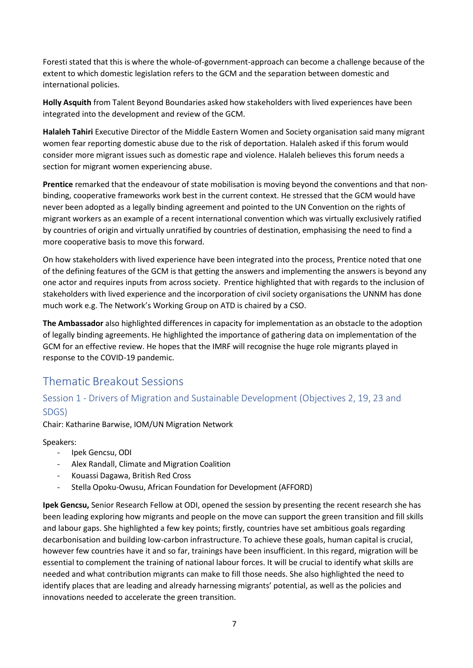Foresti stated that this is where the whole-of-government-approach can become a challenge because of the extent to which domestic legislation refers to the GCM and the separation between domestic and international policies.

**Holly Asquith** from Talent Beyond Boundaries asked how stakeholders with lived experiences have been integrated into the development and review of the GCM.

**Halaleh Tahiri** Executive Director of the Middle Eastern Women and Society organisation said many migrant women fear reporting domestic abuse due to the risk of deportation. Halaleh asked if this forum would consider more migrant issues such as domestic rape and violence. Halaleh believes this forum needs a section for migrant women experiencing abuse.

**Prentice** remarked that the endeavour of state mobilisation is moving beyond the conventions and that nonbinding, cooperative frameworks work best in the current context. He stressed that the GCM would have never been adopted as a legally binding agreement and pointed to the UN Convention on the rights of migrant workers as an example of a recent international convention which was virtually exclusively ratified by countries of origin and virtually unratified by countries of destination, emphasising the need to find a more cooperative basis to move this forward.

On how stakeholders with lived experience have been integrated into the process, Prentice noted that one of the defining features of the GCM is that getting the answers and implementing the answers is beyond any one actor and requires inputs from across society. Prentice highlighted that with regards to the inclusion of stakeholders with lived experience and the incorporation of civil society organisations the UNNM has done much work e.g. The Network's Working Group on ATD is chaired by a CSO.

**The Ambassador** also highlighted differences in capacity for implementation as an obstacle to the adoption of legally binding agreements. He highlighted the importance of gathering data on implementation of the GCM for an effective review. He hopes that the IMRF will recognise the huge role migrants played in response to the COVID-19 pandemic.

## <span id="page-6-0"></span>Thematic Breakout Sessions

## <span id="page-6-1"></span>Session 1 - Drivers of Migration and Sustainable Development (Objectives 2, 19, 23 and SDGS)

Chair: Katharine Barwise, IOM/UN Migration Network

Speakers:

- Ipek Gencsu, ODI
- Alex Randall, Climate and Migration Coalition
- Kouassi Dagawa, British Red Cross
- Stella Opoku-Owusu, African Foundation for Development (AFFORD)

**Ipek Gencsu,** Senior Research Fellow at ODI, opened the session by presenting the recent research she has been leading exploring how migrants and people on the move can support the green transition and fill skills and labour gaps. She highlighted a few key points; firstly, countries have set ambitious goals regarding decarbonisation and building low-carbon infrastructure. To achieve these goals, human capital is crucial, however few countries have it and so far, trainings have been insufficient. In this regard, migration will be essential to complement the training of national labour forces. It will be crucial to identify what skills are needed and what contribution migrants can make to fill those needs. She also highlighted the need to identify places that are leading and already harnessing migrants' potential, as well as the policies and innovations needed to accelerate the green transition.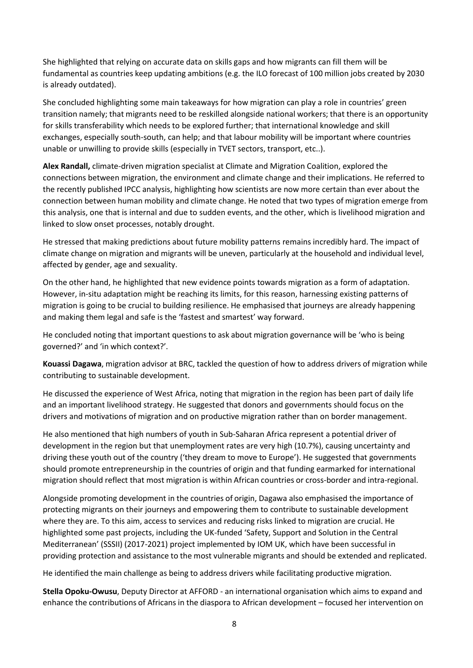She highlighted that relying on accurate data on skills gaps and how migrants can fill them will be fundamental as countries keep updating ambitions (e.g. the ILO forecast of 100 million jobs created by 2030 is already outdated).

She concluded highlighting some main takeaways for how migration can play a role in countries' green transition namely; that migrants need to be reskilled alongside national workers; that there is an opportunity for skills transferability which needs to be explored further; that international knowledge and skill exchanges, especially south-south, can help; and that labour mobility will be important where countries unable or unwilling to provide skills (especially in TVET sectors, transport, etc..).

**Alex Randall,** climate-driven migration specialist at Climate and Migration Coalition, explored the connections between migration, the environment and climate change and their implications. He referred to the recently published IPCC analysis, highlighting how scientists are now more certain than ever about the connection between human mobility and climate change. He noted that two types of migration emerge from this analysis, one that is internal and due to sudden events, and the other, which is livelihood migration and linked to slow onset processes, notably drought.

He stressed that making predictions about future mobility patterns remains incredibly hard. The impact of climate change on migration and migrants will be uneven, particularly at the household and individual level, affected by gender, age and sexuality.

On the other hand, he highlighted that new evidence points towards migration as a form of adaptation. However, in-situ adaptation might be reaching its limits, for this reason, harnessing existing patterns of migration is going to be crucial to building resilience. He emphasised that journeys are already happening and making them legal and safe is the 'fastest and smartest' way forward.

He concluded noting that important questions to ask about migration governance will be 'who is being governed?' and 'in which context?'.

**Kouassi Dagawa**, migration advisor at BRC, tackled the question of how to address drivers of migration while contributing to sustainable development.

He discussed the experience of West Africa, noting that migration in the region has been part of daily life and an important livelihood strategy. He suggested that donors and governments should focus on the drivers and motivations of migration and on productive migration rather than on border management.

He also mentioned that high numbers of youth in Sub-Saharan Africa represent a potential driver of development in the region but that unemployment rates are very high (10.7%), causing uncertainty and driving these youth out of the country ('they dream to move to Europe'). He suggested that governments should promote entrepreneurship in the countries of origin and that funding earmarked for international migration should reflect that most migration is within African countries or cross-border and intra-regional.

Alongside promoting development in the countries of origin, Dagawa also emphasised the importance of protecting migrants on their journeys and empowering them to contribute to sustainable development where they are. To this aim, access to services and reducing risks linked to migration are crucial. He highlighted some past projects, including the UK-funded 'Safety, Support and Solution in the Central Mediterranean' (SSSII) (2017-2021) project implemented by IOM UK, which have been successful in providing protection and assistance to the most vulnerable migrants and should be extended and replicated.

He identified the main challenge as being to address drivers while facilitating productive migration.

**Stella Opoku-Owusu**, Deputy Director at AFFORD - an international organisation which aims to expand and enhance the contributions of Africans in the diaspora to African development – focused her intervention on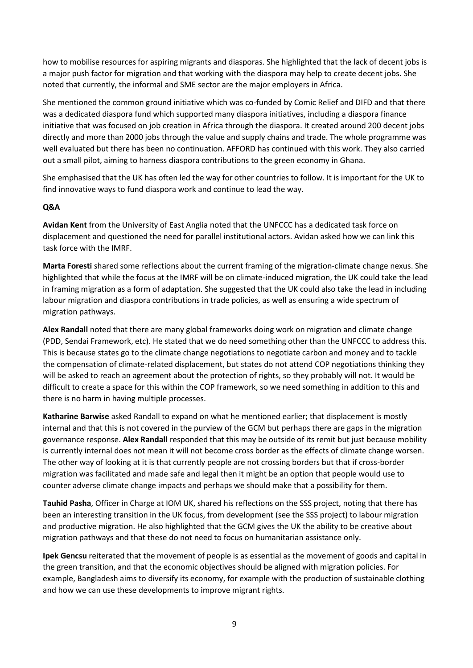how to mobilise resources for aspiring migrants and diasporas. She highlighted that the lack of decent jobs is a major push factor for migration and that working with the diaspora may help to create decent jobs. She noted that currently, the informal and SME sector are the major employers in Africa.

She mentioned the common ground initiative which was co-funded by Comic Relief and DIFD and that there was a dedicated diaspora fund which supported many diaspora initiatives, including a diaspora finance initiative that was focused on job creation in Africa through the diaspora. It created around 200 decent jobs directly and more than 2000 jobs through the value and supply chains and trade. The whole programme was well evaluated but there has been no continuation. AFFORD has continued with this work. They also carried out a small pilot, aiming to harness diaspora contributions to the green economy in Ghana.

She emphasised that the UK has often led the way for other countries to follow. It is important for the UK to find innovative ways to fund diaspora work and continue to lead the way.

## **Q&A**

**Avidan Kent** from the University of East Anglia noted that the UNFCCC has a dedicated task force on displacement and questioned the need for parallel institutional actors. Avidan asked how we can link this task force with the IMRF.

**Marta Foresti** shared some reflections about the current framing of the migration-climate change nexus. She highlighted that while the focus at the IMRF will be on climate-induced migration, the UK could take the lead in framing migration as a form of adaptation. She suggested that the UK could also take the lead in including labour migration and diaspora contributions in trade policies, as well as ensuring a wide spectrum of migration pathways.

**Alex Randall** noted that there are many global frameworks doing work on migration and climate change (PDD, Sendai Framework, etc). He stated that we do need something other than the UNFCCC to address this. This is because states go to the climate change negotiations to negotiate carbon and money and to tackle the compensation of climate-related displacement, but states do not attend COP negotiations thinking they will be asked to reach an agreement about the protection of rights, so they probably will not. It would be difficult to create a space for this within the COP framework, so we need something in addition to this and there is no harm in having multiple processes.

**Katharine Barwise** asked Randall to expand on what he mentioned earlier; that displacement is mostly internal and that this is not covered in the purview of the GCM but perhaps there are gaps in the migration governance response. **Alex Randall** responded that this may be outside of its remit but just because mobility is currently internal does not mean it will not become cross border as the effects of climate change worsen. The other way of looking at it is that currently people are not crossing borders but that if cross-border migration was facilitated and made safe and legal then it might be an option that people would use to counter adverse climate change impacts and perhaps we should make that a possibility for them.

**Tauhid Pasha**, Officer in Charge at IOM UK, shared his reflections on the SSS project, noting that there has been an interesting transition in the UK focus, from development (see the SSS project) to labour migration and productive migration. He also highlighted that the GCM gives the UK the ability to be creative about migration pathways and that these do not need to focus on humanitarian assistance only.

**Ipek Gencsu** reiterated that the movement of people is as essential as the movement of goods and capital in the green transition, and that the economic objectives should be aligned with migration policies. For example, Bangladesh aims to diversify its economy, for example with the production of sustainable clothing and how we can use these developments to improve migrant rights.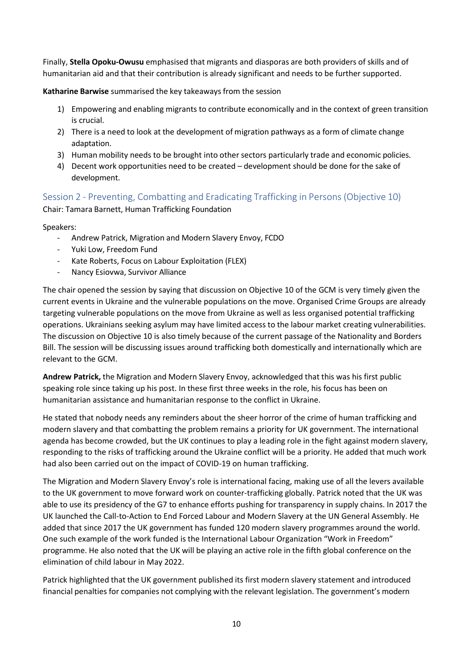Finally, **Stella Opoku-Owusu** emphasised that migrants and diasporas are both providers of skills and of humanitarian aid and that their contribution is already significant and needs to be further supported.

**Katharine Barwise** summarised the key takeaways from the session

- 1) Empowering and enabling migrants to contribute economically and in the context of green transition is crucial.
- 2) There is a need to look at the development of migration pathways as a form of climate change adaptation.
- 3) Human mobility needs to be brought into other sectors particularly trade and economic policies.
- 4) Decent work opportunities need to be created development should be done for the sake of development.

<span id="page-9-0"></span>Session 2 - Preventing, Combatting and Eradicating Trafficking in Persons (Objective 10)

Chair: Tamara Barnett, Human Trafficking Foundation

Speakers:

- Andrew Patrick, Migration and Modern Slavery Envoy, FCDO
- Yuki Low, Freedom Fund
- Kate Roberts, Focus on Labour Exploitation (FLEX)
- Nancy Esiovwa, Survivor Alliance

The chair opened the session by saying that discussion on Objective 10 of the GCM is very timely given the current events in Ukraine and the vulnerable populations on the move. Organised Crime Groups are already targeting vulnerable populations on the move from Ukraine as well as less organised potential trafficking operations. Ukrainians seeking asylum may have limited access to the labour market creating vulnerabilities. The discussion on Objective 10 is also timely because of the current passage of the Nationality and Borders Bill. The session will be discussing issues around trafficking both domestically and internationally which are relevant to the GCM.

**Andrew Patrick,** the Migration and Modern Slavery Envoy, acknowledged that this was his first public speaking role since taking up his post. In these first three weeks in the role, his focus has been on humanitarian assistance and humanitarian response to the conflict in Ukraine.

He stated that nobody needs any reminders about the sheer horror of the crime of human trafficking and modern slavery and that combatting the problem remains a priority for UK government. The international agenda has become crowded, but the UK continues to play a leading role in the fight against modern slavery, responding to the risks of trafficking around the Ukraine conflict will be a priority. He added that much work had also been carried out on the impact of COVID-19 on human trafficking.

The Migration and Modern Slavery Envoy's role is international facing, making use of all the levers available to the UK government to move forward work on counter-trafficking globally. Patrick noted that the UK was able to use its presidency of the G7 to enhance efforts pushing for transparency in supply chains. In 2017 the UK launched the Call-to-Action to End Forced Labour and Modern Slavery at the UN General Assembly. He added that since 2017 the UK government has funded 120 modern slavery programmes around the world. One such example of the work funded is the International Labour Organization "Work in Freedom" programme. He also noted that the UK will be playing an active role in the fifth global conference on the elimination of child labour in May 2022.

Patrick highlighted that the UK government published its first modern slavery statement and introduced financial penalties for companies not complying with the relevant legislation. The government's modern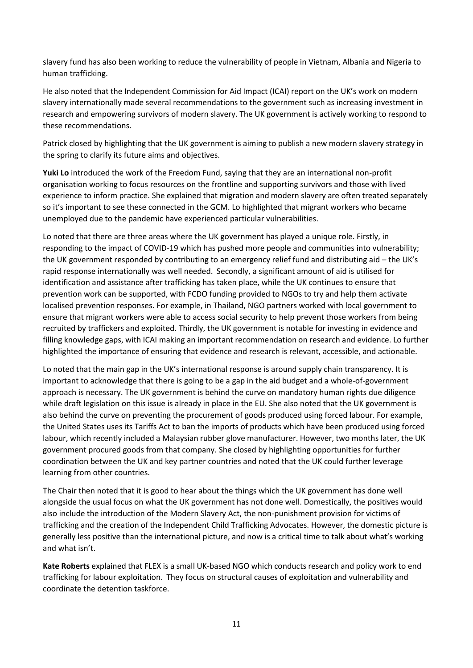slavery fund has also been working to reduce the vulnerability of people in Vietnam, Albania and Nigeria to human trafficking.

He also noted that the Independent Commission for Aid Impact (ICAI) report on the UK's work on modern slavery internationally made several recommendations to the government such as increasing investment in research and empowering survivors of modern slavery. The UK government is actively working to respond to these recommendations.

Patrick closed by highlighting that the UK government is aiming to publish a new modern slavery strategy in the spring to clarify its future aims and objectives.

**Yuki Lo** introduced the work of the Freedom Fund, saying that they are an international non-profit organisation working to focus resources on the frontline and supporting survivors and those with lived experience to inform practice. She explained that migration and modern slavery are often treated separately so it's important to see these connected in the GCM. Lo highlighted that migrant workers who became unemployed due to the pandemic have experienced particular vulnerabilities.

Lo noted that there are three areas where the UK government has played a unique role. Firstly, in responding to the impact of COVID-19 which has pushed more people and communities into vulnerability; the UK government responded by contributing to an emergency relief fund and distributing aid – the UK's rapid response internationally was well needed. Secondly, a significant amount of aid is utilised for identification and assistance after trafficking has taken place, while the UK continues to ensure that prevention work can be supported, with FCDO funding provided to NGOs to try and help them activate localised prevention responses. For example, in Thailand, NGO partners worked with local government to ensure that migrant workers were able to access social security to help prevent those workers from being recruited by traffickers and exploited. Thirdly, the UK government is notable for investing in evidence and filling knowledge gaps, with ICAI making an important recommendation on research and evidence. Lo further highlighted the importance of ensuring that evidence and research is relevant, accessible, and actionable.

Lo noted that the main gap in the UK's international response is around supply chain transparency. It is important to acknowledge that there is going to be a gap in the aid budget and a whole-of-government approach is necessary. The UK government is behind the curve on mandatory human rights due diligence while draft legislation on this issue is already in place in the EU. She also noted that the UK government is also behind the curve on preventing the procurement of goods produced using forced labour. For example, the United States uses its Tariffs Act to ban the imports of products which have been produced using forced labour, which recently included a Malaysian rubber glove manufacturer. However, two months later, the UK government procured goods from that company. She closed by highlighting opportunities for further coordination between the UK and key partner countries and noted that the UK could further leverage learning from other countries.

The Chair then noted that it is good to hear about the things which the UK government has done well alongside the usual focus on what the UK government has not done well. Domestically, the positives would also include the introduction of the Modern Slavery Act, the non-punishment provision for victims of trafficking and the creation of the Independent Child Trafficking Advocates. However, the domestic picture is generally less positive than the international picture, and now is a critical time to talk about what's working and what isn't.

**Kate Roberts** explained that FLEX is a small UK-based NGO which conducts research and policy work to end trafficking for labour exploitation. They focus on structural causes of exploitation and vulnerability and coordinate the detention taskforce.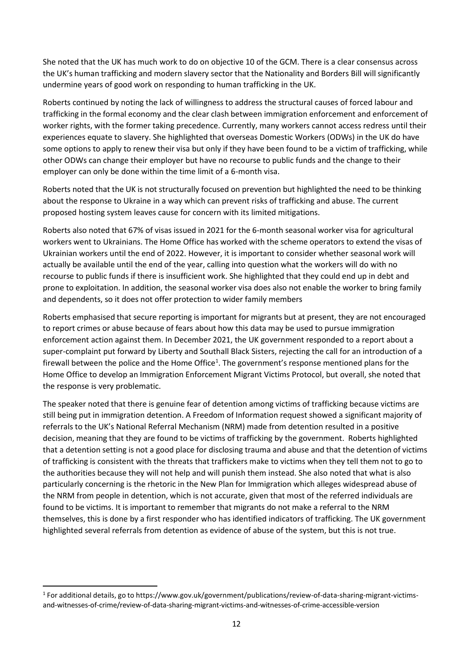She noted that the UK has much work to do on objective 10 of the GCM. There is a clear consensus across the UK's human trafficking and modern slavery sector that the Nationality and Borders Bill willsignificantly undermine years of good work on responding to human trafficking in the UK.

Roberts continued by noting the lack of willingness to address the structural causes of forced labour and trafficking in the formal economy and the clear clash between immigration enforcement and enforcement of worker rights, with the former taking precedence. Currently, many workers cannot access redress until their experiences equate to slavery. She highlighted that overseas Domestic Workers (ODWs) in the UK do have some options to apply to renew their visa but only if they have been found to be a victim of trafficking, while other ODWs can change their employer but have no recourse to public funds and the change to their employer can only be done within the time limit of a 6-month visa.

Roberts noted that the UK is not structurally focused on prevention but highlighted the need to be thinking about the response to Ukraine in a way which can prevent risks of trafficking and abuse. The current proposed hosting system leaves cause for concern with its limited mitigations.

Roberts also noted that 67% of visas issued in 2021 for the 6-month seasonal worker visa for agricultural workers went to Ukrainians. The Home Office has worked with the scheme operators to extend the visas of Ukrainian workers until the end of 2022. However, it is important to consider whether seasonal work will actually be available until the end of the year, calling into question what the workers will do with no recourse to public funds if there is insufficient work. She highlighted that they could end up in debt and prone to exploitation. In addition, the seasonal worker visa does also not enable the worker to bring family and dependents, so it does not offer protection to wider family members

Roberts emphasised that secure reporting is important for migrants but at present, they are not encouraged to report crimes or abuse because of fears about how this data may be used to pursue immigration enforcement action against them. In December 2021, the UK government responded to a report about a super-complaint put forward by Liberty and Southall Black Sisters, rejecting the call for an introduction of a firewall between the police and the Home Office<sup>1</sup>. The government's response mentioned plans for the Home Office to develop an Immigration Enforcement Migrant Victims Protocol, but overall, she noted that the response is very problematic.

The speaker noted that there is genuine fear of detention among victims of trafficking because victims are still being put in immigration detention. A Freedom of Information request showed a significant majority of referrals to the UK's National Referral Mechanism (NRM) made from detention resulted in a positive decision, meaning that they are found to be victims of trafficking by the government. Roberts highlighted that a detention setting is not a good place for disclosing trauma and abuse and that the detention of victims of trafficking is consistent with the threats that traffickers make to victims when they tell them not to go to the authorities because they will not help and will punish them instead. She also noted that what is also particularly concerning is the rhetoric in the New Plan for Immigration which alleges widespread abuse of the NRM from people in detention, which is not accurate, given that most of the referred individuals are found to be victims. It is important to remember that migrants do not make a referral to the NRM themselves, this is done by a first responder who has identified indicators of trafficking. The UK government highlighted several referrals from detention as evidence of abuse of the system, but this is not true.

<sup>&</sup>lt;sup>1</sup> For additional details, go to https:[//www.gov.uk/government/publications/review-of-data-sharing-migrant-victims](http://www.gov.uk/government/publications/review-of-data-sharing-migrant-victims-)and-witnesses-of-crime/review-of-data-sharing-migrant-victims-and-witnesses-of-crime-accessible-version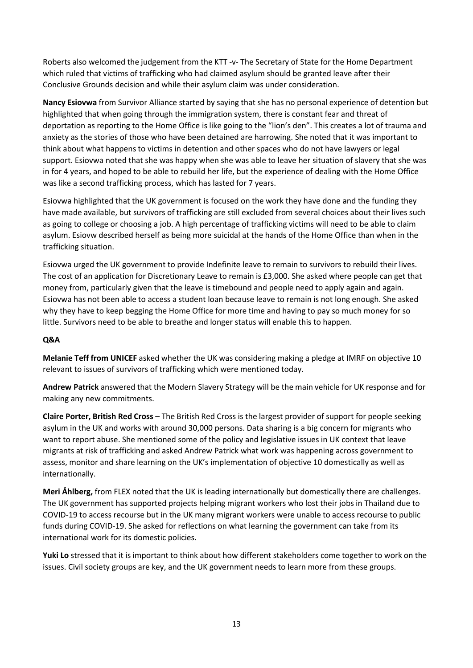Roberts also welcomed the judgement from the KTT -v- The Secretary of State for the Home Department which ruled that victims of trafficking who had claimed asylum should be granted leave after their Conclusive Grounds decision and while their asylum claim was under consideration.

**Nancy Esiovwa** from Survivor Alliance started by saying that she has no personal experience of detention but highlighted that when going through the immigration system, there is constant fear and threat of deportation as reporting to the Home Office is like going to the "lion's den". This creates a lot of trauma and anxiety as the stories of those who have been detained are harrowing. She noted that it was important to think about what happens to victims in detention and other spaces who do not have lawyers or legal support. Esiovwa noted that she was happy when she was able to leave her situation of slavery that she was in for 4 years, and hoped to be able to rebuild her life, but the experience of dealing with the Home Office was like a second trafficking process, which has lasted for 7 years.

Esiovwa highlighted that the UK government is focused on the work they have done and the funding they have made available, but survivors of trafficking are still excluded from several choices about their lives such as going to college or choosing a job. A high percentage of trafficking victims will need to be able to claim asylum. Esiovw described herself as being more suicidal at the hands of the Home Office than when in the trafficking situation.

Esiovwa urged the UK government to provide Indefinite leave to remain to survivors to rebuild their lives. The cost of an application for Discretionary Leave to remain is £3,000. She asked where people can get that money from, particularly given that the leave is timebound and people need to apply again and again. Esiovwa has not been able to access a student loan because leave to remain is not long enough. She asked why they have to keep begging the Home Office for more time and having to pay so much money for so little. Survivors need to be able to breathe and longer status will enable this to happen.

## **Q&A**

**Melanie Teff from UNICEF** asked whether the UK was considering making a pledge at IMRF on objective 10 relevant to issues of survivors of trafficking which were mentioned today.

**Andrew Patrick** answered that the Modern Slavery Strategy will be the main vehicle for UK response and for making any new commitments.

**Claire Porter, British Red Cross** – The British Red Cross is the largest provider of support for people seeking asylum in the UK and works with around 30,000 persons. Data sharing is a big concern for migrants who want to report abuse. She mentioned some of the policy and legislative issues in UK context that leave migrants at risk of trafficking and asked Andrew Patrick what work was happening across government to assess, monitor and share learning on the UK's implementation of objective 10 domestically as well as internationally.

**Meri Åhlberg,** from FLEX noted that the UK is leading internationally but domestically there are challenges. The UK government has supported projects helping migrant workers who lost their jobs in Thailand due to COVID-19 to access recourse but in the UK many migrant workers were unable to access recourse to public funds during COVID-19. She asked for reflections on what learning the government can take from its international work for its domestic policies.

**Yuki Lo** stressed that it is important to think about how different stakeholders come together to work on the issues. Civil society groups are key, and the UK government needs to learn more from these groups.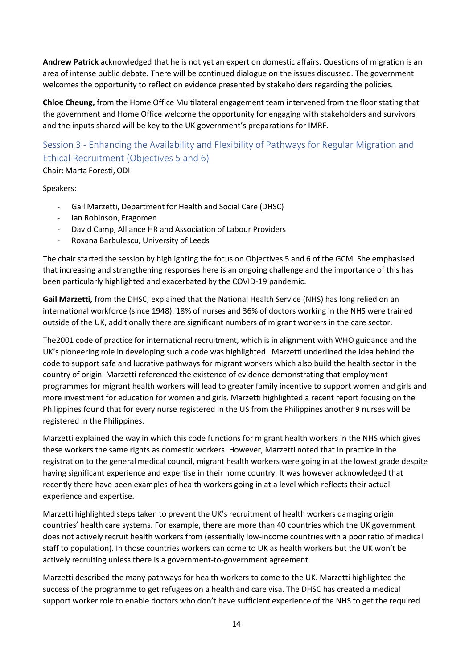**Andrew Patrick** acknowledged that he is not yet an expert on domestic affairs. Questions of migration is an area of intense public debate. There will be continued dialogue on the issues discussed. The government welcomes the opportunity to reflect on evidence presented by stakeholders regarding the policies.

**Chloe Cheung,** from the Home Office Multilateral engagement team intervened from the floor stating that the government and Home Office welcome the opportunity for engaging with stakeholders and survivors and the inputs shared will be key to the UK government's preparations for IMRF.

<span id="page-13-0"></span>Session 3 - Enhancing the Availability and Flexibility of Pathways for Regular Migration and Ethical Recruitment (Objectives 5 and 6)

Chair: Marta Foresti, ODI

### Speakers:

- Gail Marzetti, Department for Health and Social Care (DHSC)
- Ian Robinson, Fragomen
- David Camp, Alliance HR and Association of Labour Providers
- Roxana Barbulescu, University of Leeds

The chair started the session by highlighting the focus on Objectives 5 and 6 of the GCM. She emphasised that increasing and strengthening responses here is an ongoing challenge and the importance of this has been particularly highlighted and exacerbated by the COVID-19 pandemic.

**Gail Marzetti,** from the DHSC, explained that the National Health Service (NHS) has long relied on an international workforce (since 1948). 18% of nurses and 36% of doctors working in the NHS were trained outside of the UK, additionally there are significant numbers of migrant workers in the care sector.

The2001 code of practice for international recruitment, which is in alignment with WHO guidance and the UK's pioneering role in developing such a code was highlighted. Marzetti underlined the idea behind the code to support safe and lucrative pathways for migrant workers which also build the health sector in the country of origin. Marzetti referenced the existence of evidence demonstrating that employment programmes for migrant health workers will lead to greater family incentive to support women and girls and more investment for education for women and girls. Marzetti highlighted a recent report focusing on the Philippines found that for every nurse registered in the US from the Philippines another 9 nurses will be registered in the Philippines.

Marzetti explained the way in which this code functions for migrant health workers in the NHS which gives these workers the same rights as domestic workers. However, Marzetti noted that in practice in the registration to the general medical council, migrant health workers were going in at the lowest grade despite having significant experience and expertise in their home country. It was however acknowledged that recently there have been examples of health workers going in at a level which reflects their actual experience and expertise.

Marzetti highlighted stepstaken to prevent the UK's recruitment of health workers damaging origin countries' health care systems. For example, there are more than 40 countries which the UK government does not actively recruit health workers from (essentially low-income countries with a poor ratio of medical staff to population). In those countries workers can come to UK as health workers but the UK won't be actively recruiting unless there is a government-to-government agreement.

Marzetti described the many pathways for health workers to come to the UK. Marzetti highlighted the success of the programme to get refugees on a health and care visa. The DHSC has created a medical support worker role to enable doctors who don't have sufficient experience of the NHS to get the required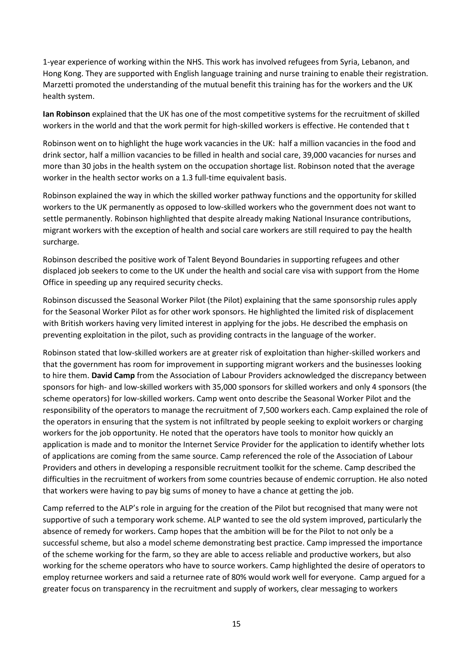1-year experience of working within the NHS. This work has involved refugees from Syria, Lebanon, and Hong Kong. They are supported with English language training and nurse training to enable their registration. Marzetti promoted the understanding of the mutual benefit this training has for the workers and the UK health system.

**Ian Robinson** explained that the UK has one of the most competitive systems for the recruitment of skilled workers in the world and that the work permit for high-skilled workers is effective. He contended that t

Robinson went on to highlight the huge work vacancies in the UK: half a million vacancies in the food and drink sector, half a million vacancies to be filled in health and social care, 39,000 vacancies for nurses and more than 30 jobs in the health system on the occupation shortage list. Robinson noted that the average worker in the health sector works on a 1.3 full-time equivalent basis.

Robinson explained the way in which the skilled worker pathway functions and the opportunity forskilled workers to the UK permanently as opposed to low-skilled workers who the government does not want to settle permanently. Robinson highlighted that despite already making National Insurance contributions, migrant workers with the exception of health and social care workers are still required to pay the health surcharge.

Robinson described the positive work of Talent Beyond Boundaries in supporting refugees and other displaced job seekers to come to the UK under the health and social care visa with support from the Home Office in speeding up any required security checks.

Robinson discussed the Seasonal Worker Pilot (the Pilot) explaining that the same sponsorship rules apply for the Seasonal Worker Pilot as for other work sponsors. He highlighted the limited risk of displacement with British workers having very limited interest in applying for the jobs. He described the emphasis on preventing exploitation in the pilot, such as providing contracts in the language of the worker.

Robinson stated that low-skilled workers are at greater risk of exploitation than higher-skilled workers and that the government has room for improvement in supporting migrant workers and the businesses looking to hire them. **David Camp** from the Association of Labour Providers acknowledged the discrepancy between sponsors for high- and low-skilled workers with 35,000 sponsors for skilled workers and only 4 sponsors (the scheme operators) for low-skilled workers. Camp went onto describe the Seasonal Worker Pilot and the responsibility of the operators to manage the recruitment of 7,500 workers each. Camp explained the role of the operators in ensuring that the system is not infiltrated by people seeking to exploit workers or charging workers for the job opportunity. He noted that the operators have tools to monitor how quickly an application is made and to monitor the Internet Service Provider for the application to identify whether lots of applications are coming from the same source. Camp referenced the role of the Association of Labour Providers and others in developing a responsible recruitment toolkit for the scheme. Camp described the difficulties in the recruitment of workers from some countries because of endemic corruption. He also noted that workers were having to pay big sums of money to have a chance at getting the job.

Camp referred to the ALP's role in arguing for the creation of the Pilot but recognised that many were not supportive of such a temporary work scheme. ALP wanted to see the old system improved, particularly the absence of remedy for workers. Camp hopes that the ambition will be for the Pilot to not only be a successful scheme, but also a model scheme demonstrating best practice. Camp impressed the importance of the scheme working for the farm, so they are able to access reliable and productive workers, but also working for the scheme operators who have to source workers. Camp highlighted the desire of operators to employ returnee workers and said a returnee rate of 80% would work well for everyone. Camp argued for a greater focus on transparency in the recruitment and supply of workers, clear messaging to workers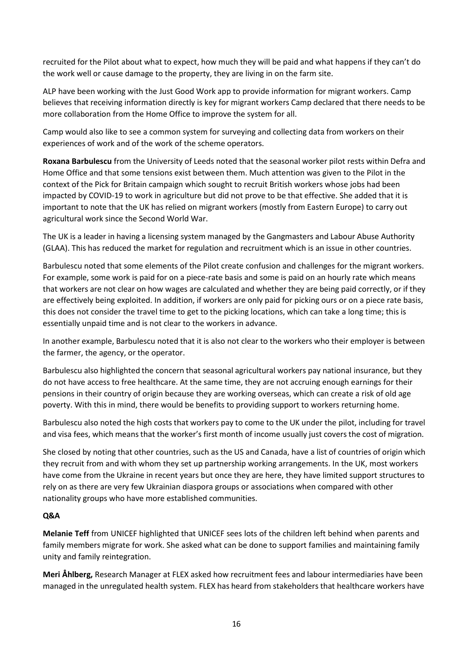recruited for the Pilot about what to expect, how much they will be paid and what happens if they can't do the work well or cause damage to the property, they are living in on the farm site.

ALP have been working with the Just Good Work app to provide information for migrant workers. Camp believes that receiving information directly is key for migrant workers Camp declared that there needs to be more collaboration from the Home Office to improve the system for all.

Camp would also like to see a common system for surveying and collecting data from workers on their experiences of work and of the work of the scheme operators.

**Roxana Barbulescu** from the University of Leeds noted that the seasonal worker pilot rests within Defra and Home Office and that some tensions exist between them. Much attention was given to the Pilot in the context of the Pick for Britain campaign which sought to recruit British workers whose jobs had been impacted by COVID-19 to work in agriculture but did not prove to be that effective. She added that it is important to note that the UK has relied on migrant workers (mostly from Eastern Europe) to carry out agricultural work since the Second World War.

The UK is a leader in having a licensing system managed by the Gangmasters and Labour Abuse Authority (GLAA). This has reduced the market for regulation and recruitment which is an issue in other countries.

Barbulescu noted that some elements of the Pilot create confusion and challenges for the migrant workers. For example, some work is paid for on a piece-rate basis and some is paid on an hourly rate which means that workers are not clear on how wages are calculated and whether they are being paid correctly, or if they are effectively being exploited. In addition, if workers are only paid for picking ours or on a piece rate basis, this does not consider the travel time to get to the picking locations, which can take a long time; this is essentially unpaid time and is not clear to the workers in advance.

In another example, Barbulescu noted that it is also not clear to the workers who their employer is between the farmer, the agency, or the operator.

Barbulescu also highlighted the concern that seasonal agricultural workers pay national insurance, but they do not have access to free healthcare. At the same time, they are not accruing enough earnings for their pensions in their country of origin because they are working overseas, which can create a risk of old age poverty. With this in mind, there would be benefits to providing support to workers returning home.

Barbulescu also noted the high costs that workers pay to come to the UK under the pilot, including for travel and visa fees, which means that the worker's first month of income usually just covers the cost of migration.

She closed by noting that other countries, such as the US and Canada, have a list of countries of origin which they recruit from and with whom they set up partnership working arrangements. In the UK, most workers have come from the Ukraine in recent years but once they are here, they have limited support structures to rely on as there are very few Ukrainian diaspora groups or associations when compared with other nationality groups who have more established communities.

## **Q&A**

**Melanie Teff** from UNICEF highlighted that UNICEF sees lots of the children left behind when parents and family members migrate for work. She asked what can be done to support families and maintaining family unity and family reintegration.

**Meri Åhlberg,** Research Manager at FLEX asked how recruitment fees and labour intermediaries have been managed in the unregulated health system. FLEX has heard from stakeholders that healthcare workers have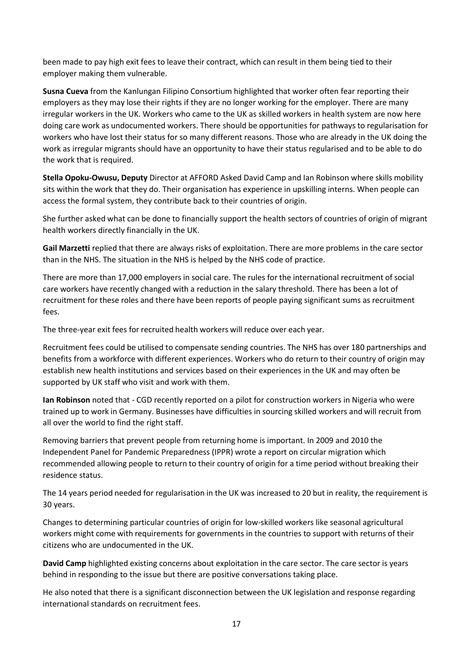been made to pay high exit fees to leave their contract, which can result in them being tied to their employer making them vulnerable.

**Susna Cueva** from the Kanlungan Filipino Consortium highlighted that worker often fear reporting their employers as they may lose their rights if they are no longer working for the employer. There are many irregular workers in the UK. Workers who came to the UK as skilled workers in health system are now here doing care work as undocumented workers. There should be opportunities for pathways to regularisation for workers who have lost their status for so many different reasons. Those who are already in the UK doing the work as irregular migrants should have an opportunity to have their status regularised and to be able to do the work that is required.

**Stella Opoku-Owusu, Deputy** Director at AFFORD Asked David Camp and Ian Robinson where skills mobility sits within the work that they do. Their organisation has experience in upskilling interns. When people can access the formal system, they contribute back to their countries of origin.

She further asked what can be done to financially support the health sectors of countries of origin of migrant health workers directly financially in the UK.

**Gail Marzetti** replied that there are always risks of exploitation. There are more problems in the care sector than in the NHS. The situation in the NHS is helped by the NHS code of practice.

There are more than 17,000 employers in social care. The rules for the international recruitment of social care workers have recently changed with a reduction in the salary threshold. There has been a lot of recruitment for these roles and there have been reports of people paying significant sums as recruitment fees.

The three-year exit fees for recruited health workers will reduce over each year.

Recruitment fees could be utilised to compensate sending countries. The NHS has over 180 partnerships and benefits from a workforce with different experiences. Workers who do return to their country of origin may establish new health institutions and services based on their experiences in the UK and may often be supported by UK staff who visit and work with them.

**Ian Robinson** noted that - CGD recently reported on a pilot for construction workers in Nigeria who were trained up to work in Germany. Businesses have difficulties in sourcing skilled workers and will recruit from all over the world to find the right staff.

Removing barriers that prevent people from returning home is important. In 2009 and 2010 the Independent Panel for Pandemic Preparedness (IPPR) wrote a report on circular migration which recommended allowing people to return to their country of origin for a time period without breaking their residence status.

The 14 years period needed for regularisation in the UK was increased to 20 but in reality, the requirement is 30 years.

Changes to determining particular countries of origin for low-skilled workers like seasonal agricultural workers might come with requirements for governments in the countries to support with returns of their citizens who are undocumented in the UK.

**David Camp** highlighted existing concerns about exploitation in the care sector. The care sector is years behind in responding to the issue but there are positive conversations taking place.

He also noted that there is a significant disconnection between the UK legislation and response regarding international standards on recruitment fees.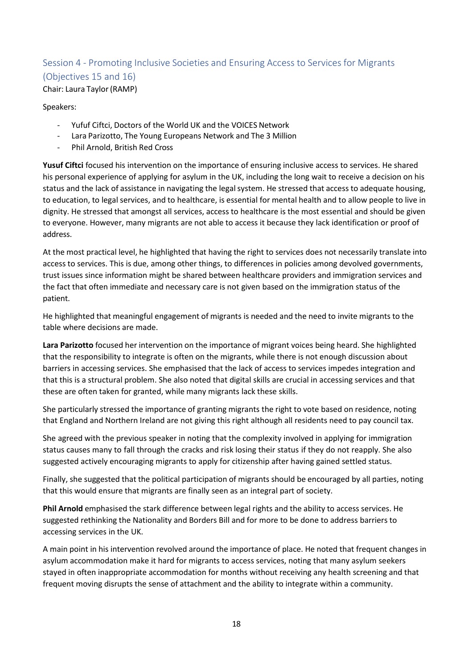## <span id="page-17-0"></span>Session 4 - Promoting Inclusive Societies and Ensuring Access to Services for Migrants (Objectives 15 and 16) Chair: Laura Taylor(RAMP)

### Speakers:

- Yufuf Ciftci, Doctors of the World UK and the VOICES Network
- Lara Parizotto, The Young Europeans Network and The 3 Million
- Phil Arnold, British Red Cross

**Yusuf Ciftci** focused his intervention on the importance of ensuring inclusive access to services. He shared his personal experience of applying for asylum in the UK, including the long wait to receive a decision on his status and the lack of assistance in navigating the legal system. He stressed that access to adequate housing, to education, to legal services, and to healthcare, is essential for mental health and to allow people to live in dignity. He stressed that amongst all services, access to healthcare is the most essential and should be given to everyone. However, many migrants are not able to access it because they lack identification or proof of address.

At the most practical level, he highlighted that having the right to services does not necessarily translate into access to services. This is due, among other things, to differences in policies among devolved governments, trust issues since information might be shared between healthcare providers and immigration services and the fact that often immediate and necessary care is not given based on the immigration status of the patient.

He highlighted that meaningful engagement of migrants is needed and the need to invite migrants to the table where decisions are made.

**Lara Parizotto** focused her intervention on the importance of migrant voices being heard. She highlighted that the responsibility to integrate is often on the migrants, while there is not enough discussion about barriers in accessing services. She emphasised that the lack of access to services impedes integration and that this is a structural problem. She also noted that digital skills are crucial in accessing services and that these are often taken for granted, while many migrants lack these skills.

She particularly stressed the importance of granting migrants the right to vote based on residence, noting that England and Northern Ireland are not giving this right although all residents need to pay council tax.

She agreed with the previous speaker in noting that the complexity involved in applying for immigration status causes many to fall through the cracks and risk losing their status if they do not reapply. She also suggested actively encouraging migrants to apply for citizenship after having gained settled status.

Finally, she suggested that the political participation of migrants should be encouraged by all parties, noting that this would ensure that migrants are finally seen as an integral part of society.

**Phil Arnold** emphasised the stark difference between legal rights and the ability to access services. He suggested rethinking the Nationality and Borders Bill and for more to be done to address barriers to accessing services in the UK.

A main point in his intervention revolved around the importance of place. He noted that frequent changes in asylum accommodation make it hard for migrants to access services, noting that many asylum seekers stayed in often inappropriate accommodation for months without receiving any health screening and that frequent moving disrupts the sense of attachment and the ability to integrate within a community.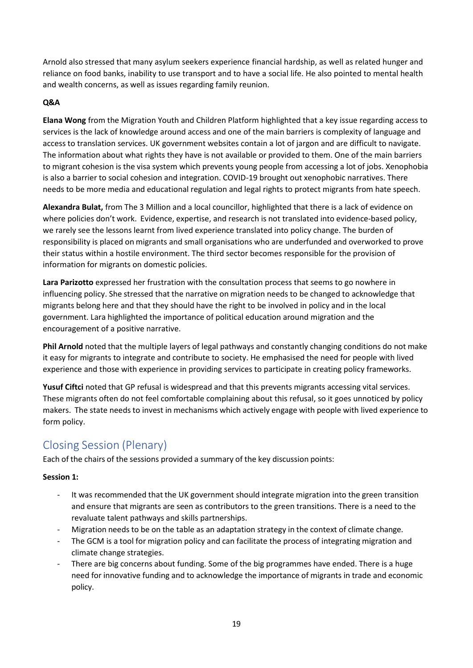Arnold also stressed that many asylum seekers experience financial hardship, as well as related hunger and reliance on food banks, inability to use transport and to have a social life. He also pointed to mental health and wealth concerns, as well as issues regarding family reunion.

## **Q&A**

**Elana Wong** from the Migration Youth and Children Platform highlighted that a key issue regarding access to services is the lack of knowledge around access and one of the main barriers is complexity of language and access to translation services. UK government websites contain a lot of jargon and are difficult to navigate. The information about what rights they have is not available or provided to them. One of the main barriers to migrant cohesion is the visa system which prevents young people from accessing a lot of jobs. Xenophobia is also a barrier to social cohesion and integration. COVID-19 brought out xenophobic narratives. There needs to be more media and educational regulation and legal rights to protect migrants from hate speech.

**Alexandra Bulat,** from The 3 Million and a local councillor, highlighted that there is a lack of evidence on where policies don't work. Evidence, expertise, and research is not translated into evidence-based policy, we rarely see the lessons learnt from lived experience translated into policy change. The burden of responsibility is placed on migrants and small organisations who are underfunded and overworked to prove their status within a hostile environment. The third sector becomes responsible for the provision of information for migrants on domestic policies.

**Lara Parizotto** expressed her frustration with the consultation process that seems to go nowhere in influencing policy. She stressed that the narrative on migration needs to be changed to acknowledge that migrants belong here and that they should have the right to be involved in policy and in the local government. Lara highlighted the importance of political education around migration and the encouragement of a positive narrative.

**Phil Arnold** noted that the multiple layers of legal pathways and constantly changing conditions do not make it easy for migrants to integrate and contribute to society. He emphasised the need for people with lived experience and those with experience in providing services to participate in creating policy frameworks.

**Yusuf Ciftci** noted that GP refusal is widespread and that this prevents migrants accessing vital services. These migrants often do not feel comfortable complaining about this refusal, so it goes unnoticed by policy makers. The state needs to invest in mechanisms which actively engage with people with lived experience to form policy.

## <span id="page-18-0"></span>Closing Session (Plenary)

Each of the chairs of the sessions provided a summary of the key discussion points:

## **Session 1:**

- It was recommended that the UK government should integrate migration into the green transition and ensure that migrants are seen as contributors to the green transitions. There is a need to the revaluate talent pathways and skills partnerships.
- Migration needs to be on the table as an adaptation strategy in the context of climate change.
- The GCM is a tool for migration policy and can facilitate the process of integrating migration and climate change strategies.
- There are big concerns about funding. Some of the big programmes have ended. There is a huge need for innovative funding and to acknowledge the importance of migrants in trade and economic policy.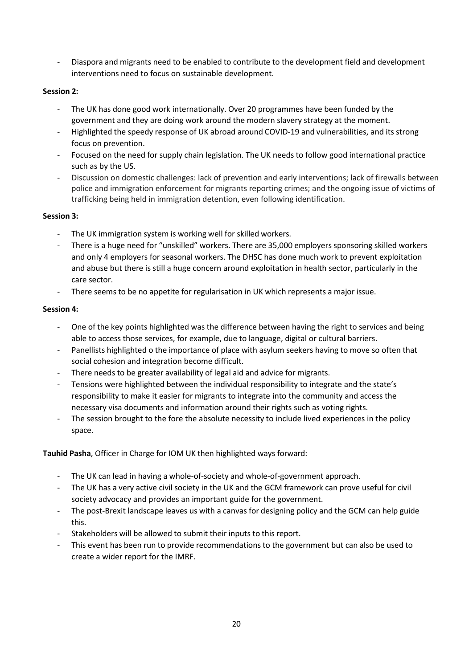- Diaspora and migrants need to be enabled to contribute to the development field and development interventions need to focus on sustainable development.

## **Session 2:**

- The UK has done good work internationally. Over 20 programmes have been funded by the government and they are doing work around the modern slavery strategy at the moment.
- Highlighted the speedy response of UK abroad around COVID-19 and vulnerabilities, and its strong focus on prevention.
- Focused on the need for supply chain legislation. The UK needs to follow good international practice such as by the US.
- Discussion on domestic challenges: lack of prevention and early interventions; lack of firewalls between police and immigration enforcement for migrants reporting crimes; and the ongoing issue of victims of trafficking being held in immigration detention, even following identification.

## **Session 3:**

- The UK immigration system is working well for skilled workers.
- There is a huge need for "unskilled" workers. There are 35,000 employers sponsoring skilled workers and only 4 employers for seasonal workers. The DHSC has done much work to prevent exploitation and abuse but there is still a huge concern around exploitation in health sector, particularly in the care sector.
- There seems to be no appetite for regularisation in UK which represents a major issue.

## **Session 4:**

- One of the key points highlighted was the difference between having the right to services and being able to access those services, for example, due to language, digital or cultural barriers.
- Panellists highlighted o the importance of place with asylum seekers having to move so often that social cohesion and integration become difficult.
- There needs to be greater availability of legal aid and advice for migrants.
- Tensions were highlighted between the individual responsibility to integrate and the state's responsibility to make it easier for migrants to integrate into the community and access the necessary visa documents and information around their rights such as voting rights.
- The session brought to the fore the absolute necessity to include lived experiences in the policy space.

**Tauhid Pasha**, Officer in Charge for IOM UK then highlighted ways forward:

- The UK can lead in having a whole-of-society and whole-of-government approach.
- The UK has a very active civil society in the UK and the GCM framework can prove useful for civil society advocacy and provides an important guide for the government.
- The post-Brexit landscape leaves us with a canvas for designing policy and the GCM can help guide this.
- Stakeholders will be allowed to submit their inputs to this report.
- This event has been run to provide recommendations to the government but can also be used to create a wider report for the IMRF.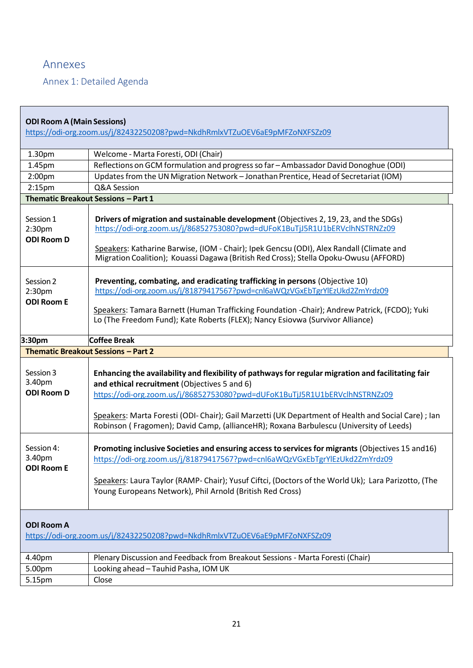## <span id="page-20-0"></span>Annexes

F

<span id="page-20-1"></span>Annex 1: Detailed Agenda

| <b>ODI Room A (Main Sessions)</b>                    | https://odi-org.zoom.us/j/82432250208?pwd=NkdhRmlxVTZuOEV6aE9pMFZoNXFSZz09                                                                                                                                                                                                                                                                                                                                                        |
|------------------------------------------------------|-----------------------------------------------------------------------------------------------------------------------------------------------------------------------------------------------------------------------------------------------------------------------------------------------------------------------------------------------------------------------------------------------------------------------------------|
| 1.30pm                                               | Welcome - Marta Foresti, ODI (Chair)                                                                                                                                                                                                                                                                                                                                                                                              |
| 1.45pm                                               | Reflections on GCM formulation and progress so far - Ambassador David Donoghue (ODI)                                                                                                                                                                                                                                                                                                                                              |
| 2:00 <sub>pm</sub>                                   | Updates from the UN Migration Network - Jonathan Prentice, Head of Secretariat (IOM)                                                                                                                                                                                                                                                                                                                                              |
| 2:15 <sub>pm</sub>                                   | Q&A Session                                                                                                                                                                                                                                                                                                                                                                                                                       |
|                                                      | Thematic Breakout Sessions - Part 1                                                                                                                                                                                                                                                                                                                                                                                               |
| Session 1<br>2:30pm<br><b>ODI Room D</b>             | Drivers of migration and sustainable development (Objectives 2, 19, 23, and the SDGs)<br>https://odi-org.zoom.us/j/86852753080?pwd=dUFoK1BuTjJ5R1U1bERVclhNSTRNZz09<br>Speakers: Katharine Barwise, (IOM - Chair); Ipek Gencsu (ODI), Alex Randall (Climate and<br>Migration Coalition); Kouassi Dagawa (British Red Cross); Stella Opoku-Owusu (AFFORD)                                                                          |
| Session 2<br>2:30 <sub>pm</sub><br><b>ODI Room E</b> | Preventing, combating, and eradicating trafficking in persons (Objective 10)<br>https://odi-org.zoom.us/j/81879417567?pwd=cnl6aWQzVGxEbTgrYlEzUkd2ZmYrdz09<br>Speakers: Tamara Barnett (Human Trafficking Foundation -Chair); Andrew Patrick, (FCDO); Yuki<br>Lo (The Freedom Fund); Kate Roberts (FLEX); Nancy Esiovwa (Survivor Alliance)                                                                                       |
| 3:30pm                                               | Coffee Break                                                                                                                                                                                                                                                                                                                                                                                                                      |
|                                                      |                                                                                                                                                                                                                                                                                                                                                                                                                                   |
|                                                      | <b>Thematic Breakout Sessions - Part 2</b>                                                                                                                                                                                                                                                                                                                                                                                        |
| Session 3<br>3.40pm<br><b>ODI Room D</b>             | Enhancing the availability and flexibility of pathways for regular migration and facilitating fair<br>and ethical recruitment (Objectives 5 and 6)<br>https://odi-org.zoom.us/j/86852753080?pwd=dUFoK1BuTjJ5R1U1bERVclhNSTRNZz09<br>Speakers: Marta Foresti (ODI- Chair); Gail Marzetti (UK Department of Health and Social Care) ; Ian<br>Robinson (Fragomen); David Camp, (allianceHR); Roxana Barbulescu (University of Leeds) |
| Session 4:<br>3.40pm<br><b>ODI Room E</b>            | Promoting inclusive Societies and ensuring access to services for migrants (Objectives 15 and 16)<br>https://odi-org.zoom.us/j/81879417567?pwd=cnl6aWQzVGxEbTgrYlEzUkd2ZmYrdz09<br>Speakers: Laura Taylor (RAMP- Chair); Yusuf Ciftci, (Doctors of the World Uk); Lara Parizotto, (The<br>Young Europeans Network), Phil Arnold (British Red Cross)                                                                               |
| <b>ODI Room A</b>                                    | https://odi-org.zoom.us/j/82432250208?pwd=NkdhRmlxVTZuOEV6aE9pMFZoNXFSZz09                                                                                                                                                                                                                                                                                                                                                        |
| 4.40pm                                               | Plenary Discussion and Feedback from Breakout Sessions - Marta Foresti (Chair)                                                                                                                                                                                                                                                                                                                                                    |
| 5.00pm<br>5.15pm                                     | Looking ahead - Tauhid Pasha, IOM UK<br>Close                                                                                                                                                                                                                                                                                                                                                                                     |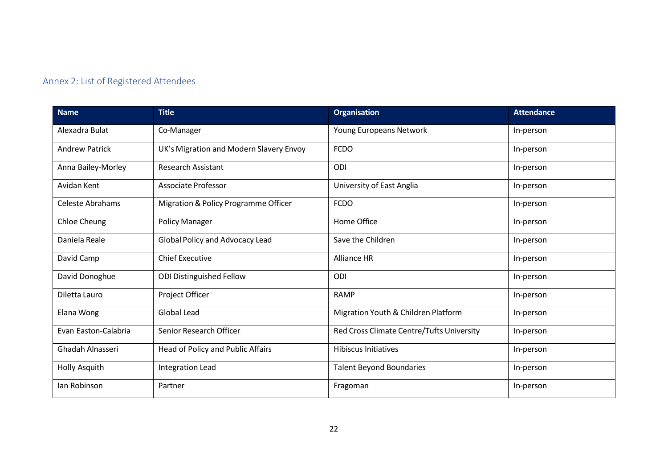## Annex 2: List of Registered Attendees

<span id="page-21-0"></span>

| <b>Name</b>             | <b>Title</b>                            | <b>Organisation</b>                       | <b>Attendance</b> |
|-------------------------|-----------------------------------------|-------------------------------------------|-------------------|
| Alexadra Bulat          | Co-Manager                              | Young Europeans Network                   | In-person         |
| <b>Andrew Patrick</b>   | UK's Migration and Modern Slavery Envoy | <b>FCDO</b>                               | In-person         |
| Anna Bailey-Morley      | <b>Research Assistant</b>               | ODI                                       | In-person         |
| Avidan Kent             | <b>Associate Professor</b>              | University of East Anglia                 | In-person         |
| <b>Celeste Abrahams</b> | Migration & Policy Programme Officer    | <b>FCDO</b>                               | In-person         |
| Chloe Cheung            | <b>Policy Manager</b>                   | Home Office                               | In-person         |
| Daniela Reale           | Global Policy and Advocacy Lead         | Save the Children                         | In-person         |
| David Camp              | <b>Chief Executive</b>                  | <b>Alliance HR</b>                        | In-person         |
| David Donoghue          | <b>ODI Distinguished Fellow</b>         | ODI                                       | In-person         |
| Diletta Lauro           | Project Officer                         | <b>RAMP</b>                               | In-person         |
| Elana Wong              | Global Lead                             | Migration Youth & Children Platform       | In-person         |
| Evan Easton-Calabria    | Senior Research Officer                 | Red Cross Climate Centre/Tufts University | In-person         |
| Ghadah Alnasseri        | Head of Policy and Public Affairs       | <b>Hibiscus Initiatives</b>               | In-person         |
| Holly Asquith           | Integration Lead                        | <b>Talent Beyond Boundaries</b>           | In-person         |
| Ian Robinson            | Partner                                 | Fragoman                                  | In-person         |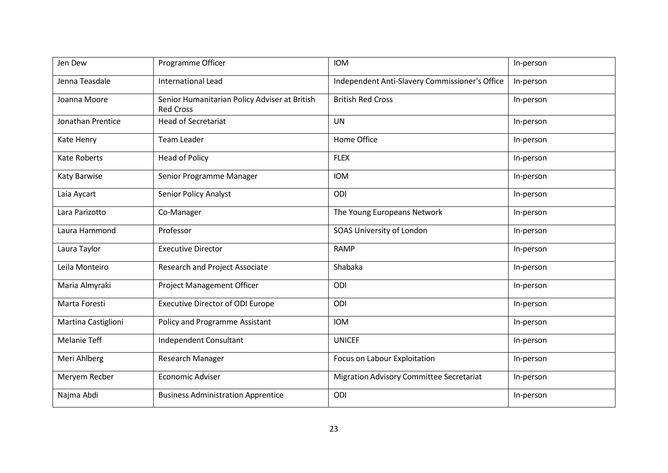| Jen Dew             | Programme Officer                                                 | <b>IOM</b>                                      | In-person |
|---------------------|-------------------------------------------------------------------|-------------------------------------------------|-----------|
| Jenna Teasdale      | <b>International Lead</b>                                         | Independent Anti-Slavery Commissioner's Office  | In-person |
| Joanna Moore        | Senior Humanitarian Policy Adviser at British<br><b>Red Cross</b> | <b>British Red Cross</b>                        | In-person |
| Jonathan Prentice   | <b>Head of Secretariat</b>                                        | <b>UN</b>                                       | In-person |
| Kate Henry          | <b>Team Leader</b>                                                | Home Office                                     | In-person |
| <b>Kate Roberts</b> | <b>Head of Policy</b>                                             | <b>FLEX</b>                                     | In-person |
| Katy Barwise        | Senior Programme Manager                                          | <b>IOM</b>                                      | In-person |
| Laia Aycart         | <b>Senior Policy Analyst</b>                                      | ODI                                             | In-person |
| Lara Parizotto      | Co-Manager                                                        | The Young Europeans Network                     | In-person |
| Laura Hammond       | Professor                                                         | SOAS University of London                       | In-person |
| Laura Taylor        | <b>Executive Director</b>                                         | <b>RAMP</b>                                     | In-person |
| Leila Monteiro      | <b>Research and Project Associate</b>                             | Shabaka                                         | In-person |
| Maria Almyraki      | <b>Project Management Officer</b>                                 | ODI                                             | In-person |
| Marta Foresti       | <b>Executive Director of ODI Europe</b>                           | ODI                                             | In-person |
| Martina Castiglioni | Policy and Programme Assistant                                    | <b>IOM</b>                                      | In-person |
| <b>Melanie Teff</b> | Independent Consultant                                            | <b>UNICEF</b>                                   | In-person |
| Meri Ahlberg        | Research Manager                                                  | Focus on Labour Exploitation                    | In-person |
| Meryem Recber       | <b>Economic Adviser</b>                                           | <b>Migration Advisory Committee Secretariat</b> | In-person |
| Najma Abdi          | <b>Business Administration Apprentice</b>                         | ODI                                             | In-person |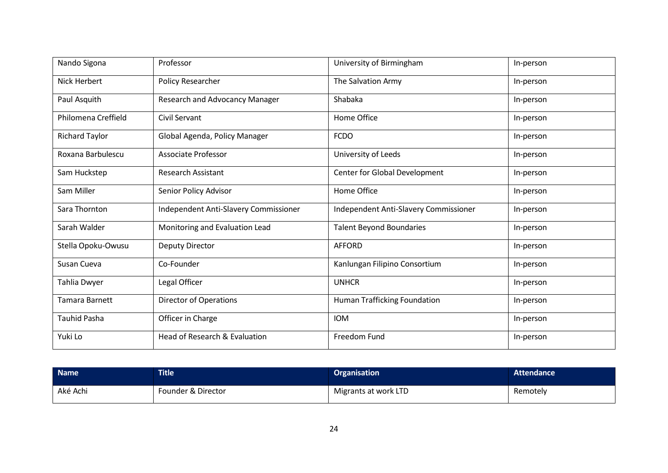| Nando Sigona          | Professor                             | University of Birmingham              | In-person |
|-----------------------|---------------------------------------|---------------------------------------|-----------|
| Nick Herbert          | Policy Researcher                     | The Salvation Army                    | In-person |
| Paul Asquith          | Research and Advocancy Manager        | Shabaka                               | In-person |
| Philomena Creffield   | Civil Servant                         | Home Office                           | In-person |
| <b>Richard Taylor</b> | Global Agenda, Policy Manager         | <b>FCDO</b>                           | In-person |
| Roxana Barbulescu     | <b>Associate Professor</b>            | University of Leeds                   | In-person |
| Sam Huckstep          | <b>Research Assistant</b>             | Center for Global Development         | In-person |
| Sam Miller            | Senior Policy Advisor                 | Home Office                           | In-person |
| Sara Thornton         | Independent Anti-Slavery Commissioner | Independent Anti-Slavery Commissioner | In-person |
| Sarah Walder          | Monitoring and Evaluation Lead        | <b>Talent Beyond Boundaries</b>       | In-person |
| Stella Opoku-Owusu    | Deputy Director                       | <b>AFFORD</b>                         | In-person |
| Susan Cueva           | Co-Founder                            | Kanlungan Filipino Consortium         | In-person |
| Tahlia Dwyer          | Legal Officer                         | <b>UNHCR</b>                          | In-person |
| Tamara Barnett        | <b>Director of Operations</b>         | Human Trafficking Foundation          | In-person |
| <b>Tauhid Pasha</b>   | Officer in Charge                     | <b>IOM</b>                            | In-person |
| Yuki Lo               | Head of Research & Evaluation         | Freedom Fund                          | In-person |

| <b>Name</b> | <b>Title</b>       | <b>Organisation</b>  | <b>Attendance</b> |
|-------------|--------------------|----------------------|-------------------|
| Aké Achi    | Founder & Director | Migrants at work LTD | Remotely          |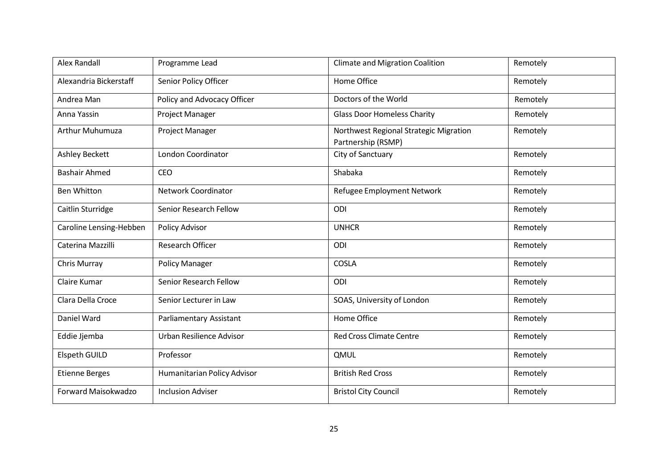| <b>Alex Randall</b>     | Programme Lead              | <b>Climate and Migration Coalition</b>                       | Remotely |
|-------------------------|-----------------------------|--------------------------------------------------------------|----------|
| Alexandria Bickerstaff  | Senior Policy Officer       | Home Office                                                  | Remotely |
| Andrea Man              | Policy and Advocacy Officer | Doctors of the World                                         | Remotely |
| Anna Yassin             | Project Manager             | <b>Glass Door Homeless Charity</b>                           | Remotely |
| Arthur Muhumuza         | Project Manager             | Northwest Regional Strategic Migration<br>Partnership (RSMP) | Remotely |
| <b>Ashley Beckett</b>   | London Coordinator          | City of Sanctuary                                            | Remotely |
| <b>Bashair Ahmed</b>    | CEO                         | Shabaka                                                      | Remotely |
| <b>Ben Whitton</b>      | <b>Network Coordinator</b>  | Refugee Employment Network                                   | Remotely |
| Caitlin Sturridge       | Senior Research Fellow      | ODI                                                          | Remotely |
| Caroline Lensing-Hebben | Policy Advisor              | <b>UNHCR</b>                                                 | Remotely |
| Caterina Mazzilli       | <b>Research Officer</b>     | ODI                                                          | Remotely |
| Chris Murray            | <b>Policy Manager</b>       | <b>COSLA</b>                                                 | Remotely |
| Claire Kumar            | Senior Research Fellow      | ODI                                                          | Remotely |
| Clara Della Croce       | Senior Lecturer in Law      | SOAS, University of London                                   | Remotely |
| Daniel Ward             | Parliamentary Assistant     | Home Office                                                  | Remotely |
| Eddie Jjemba            | Urban Resilience Advisor    | <b>Red Cross Climate Centre</b>                              | Remotely |
| <b>Elspeth GUILD</b>    | Professor                   | QMUL                                                         | Remotely |
| <b>Etienne Berges</b>   | Humanitarian Policy Advisor | <b>British Red Cross</b>                                     | Remotely |
| Forward Maisokwadzo     | <b>Inclusion Adviser</b>    | <b>Bristol City Council</b>                                  | Remotely |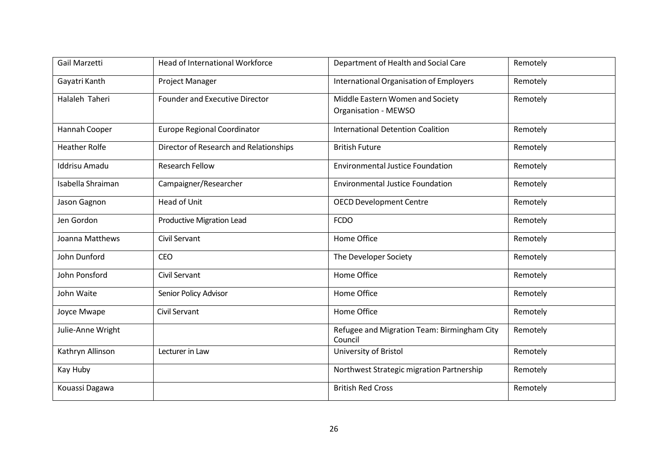| Gail Marzetti        | <b>Head of International Workforce</b> | Department of Health and Social Care                            | Remotely |
|----------------------|----------------------------------------|-----------------------------------------------------------------|----------|
| Gayatri Kanth        | Project Manager                        | <b>International Organisation of Employers</b>                  | Remotely |
| Halaleh Taheri       | <b>Founder and Executive Director</b>  | Middle Eastern Women and Society<br><b>Organisation - MEWSO</b> | Remotely |
| Hannah Cooper        | <b>Europe Regional Coordinator</b>     | <b>International Detention Coalition</b>                        | Remotely |
| <b>Heather Rolfe</b> | Director of Research and Relationships | <b>British Future</b>                                           | Remotely |
| <b>Iddrisu Amadu</b> | <b>Research Fellow</b>                 | <b>Environmental Justice Foundation</b>                         | Remotely |
| Isabella Shraiman    | Campaigner/Researcher                  | <b>Environmental Justice Foundation</b>                         | Remotely |
| Jason Gagnon         | Head of Unit                           | <b>OECD Development Centre</b>                                  | Remotely |
| Jen Gordon           | <b>Productive Migration Lead</b>       | <b>FCDO</b>                                                     | Remotely |
| Joanna Matthews      | Civil Servant                          | Home Office                                                     | Remotely |
| John Dunford         | <b>CEO</b>                             | The Developer Society                                           | Remotely |
| John Ponsford        | <b>Civil Servant</b>                   | Home Office                                                     | Remotely |
| John Waite           | Senior Policy Advisor                  | Home Office                                                     | Remotely |
| Joyce Mwape          | <b>Civil Servant</b>                   | Home Office                                                     | Remotely |
| Julie-Anne Wright    |                                        | Refugee and Migration Team: Birmingham City<br>Council          | Remotely |
| Kathryn Allinson     | Lecturer in Law                        | University of Bristol                                           | Remotely |
| Kay Huby             |                                        | Northwest Strategic migration Partnership                       | Remotely |
| Kouassi Dagawa       |                                        | <b>British Red Cross</b>                                        | Remotely |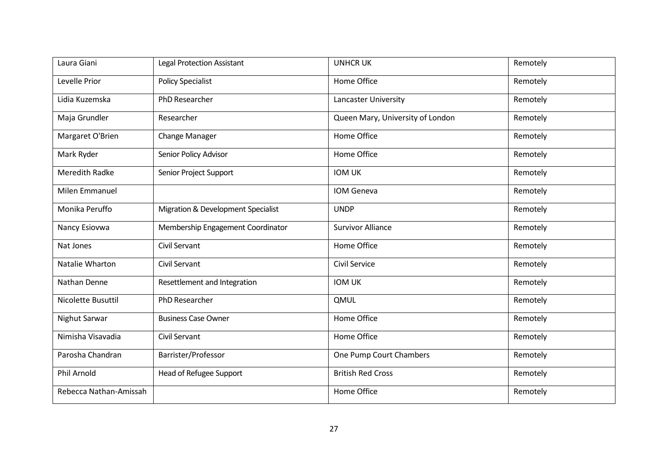| Laura Giani            | <b>Legal Protection Assistant</b>  | <b>UNHCR UK</b>                  | Remotely |
|------------------------|------------------------------------|----------------------------------|----------|
| Levelle Prior          | <b>Policy Specialist</b>           | Home Office                      | Remotely |
| Lidia Kuzemska         | PhD Researcher                     | Lancaster University             | Remotely |
| Maja Grundler          | Researcher                         | Queen Mary, University of London | Remotely |
| Margaret O'Brien       | Change Manager                     | Home Office                      | Remotely |
| Mark Ryder             | Senior Policy Advisor              | Home Office                      | Remotely |
| <b>Meredith Radke</b>  | Senior Project Support             | <b>IOM UK</b>                    | Remotely |
| Milen Emmanuel         |                                    | IOM Geneva                       | Remotely |
| Monika Peruffo         | Migration & Development Specialist | <b>UNDP</b>                      | Remotely |
| Nancy Esiovwa          | Membership Engagement Coordinator  | <b>Survivor Alliance</b>         | Remotely |
| Nat Jones              | <b>Civil Servant</b>               | Home Office                      | Remotely |
| Natalie Wharton        | <b>Civil Servant</b>               | Civil Service                    | Remotely |
| Nathan Denne           | Resettlement and Integration       | <b>IOM UK</b>                    | Remotely |
| Nicolette Busuttil     | PhD Researcher                     | QMUL                             | Remotely |
| Nighut Sarwar          | <b>Business Case Owner</b>         | Home Office                      | Remotely |
| Nimisha Visavadia      | <b>Civil Servant</b>               | Home Office                      | Remotely |
| Parosha Chandran       | Barrister/Professor                | One Pump Court Chambers          | Remotely |
| Phil Arnold            | Head of Refugee Support            | <b>British Red Cross</b>         | Remotely |
| Rebecca Nathan-Amissah |                                    | Home Office                      | Remotely |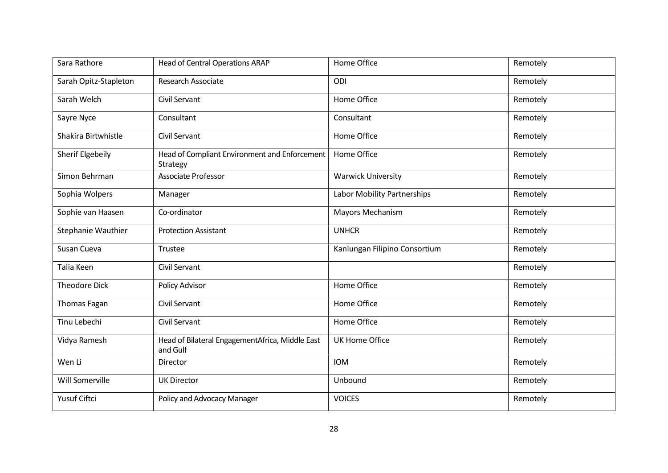| Sara Rathore              | <b>Head of Central Operations ARAP</b>                      | Home Office                   | Remotely |
|---------------------------|-------------------------------------------------------------|-------------------------------|----------|
| Sarah Opitz-Stapleton     | <b>Research Associate</b>                                   | ODI                           | Remotely |
| Sarah Welch               | <b>Civil Servant</b>                                        | Home Office                   | Remotely |
| Sayre Nyce                | Consultant                                                  | Consultant                    | Remotely |
| Shakira Birtwhistle       | Civil Servant                                               | Home Office                   | Remotely |
| Sherif Elgebeily          | Head of Compliant Environment and Enforcement<br>Strategy   | Home Office                   | Remotely |
| Simon Behrman             | Associate Professor                                         | <b>Warwick University</b>     | Remotely |
| Sophia Wolpers            | Manager                                                     | Labor Mobility Partnerships   | Remotely |
| Sophie van Haasen         | Co-ordinator                                                | Mayors Mechanism              | Remotely |
| <b>Stephanie Wauthier</b> | <b>Protection Assistant</b>                                 | <b>UNHCR</b>                  | Remotely |
| Susan Cueva               | Trustee                                                     | Kanlungan Filipino Consortium | Remotely |
| Talia Keen                | Civil Servant                                               |                               | Remotely |
| <b>Theodore Dick</b>      | Policy Advisor                                              | Home Office                   | Remotely |
| <b>Thomas Fagan</b>       | Civil Servant                                               | Home Office                   | Remotely |
| Tinu Lebechi              | <b>Civil Servant</b>                                        | Home Office                   | Remotely |
| Vidya Ramesh              | Head of Bilateral EngagementAfrica, Middle East<br>and Gulf | <b>UK Home Office</b>         | Remotely |
| Wen Li                    | Director                                                    | <b>IOM</b>                    | Remotely |
| Will Somerville           | <b>UK Director</b>                                          | Unbound                       | Remotely |
| Yusuf Ciftci              | Policy and Advocacy Manager                                 | <b>VOICES</b>                 | Remotely |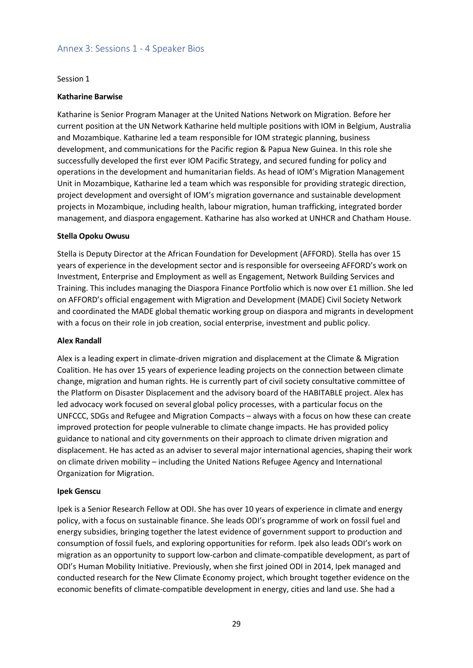## <span id="page-28-0"></span>Annex 3: Sessions 1 - 4 Speaker Bios

#### Session 1

#### **Katharine Barwise**

Katharine is Senior Program Manager at the United Nations Network on Migration. Before her current position at the UN Network Katharine held multiple positions with IOM in Belgium, Australia and Mozambique. Katharine led a team responsible for IOM strategic planning, business development, and communications for the Pacific region & Papua New Guinea. In this role she successfully developed the first ever IOM Pacific Strategy, and secured funding for policy and operations in the development and humanitarian fields. As head of IOM's Migration Management Unit in Mozambique, Katharine led a team which was responsible for providing strategic direction, project development and oversight of IOM's migration governance and sustainable development projects in Mozambique, including health, labour migration, human trafficking, integrated border management, and diaspora engagement. Katharine has also worked at UNHCR and Chatham House.

#### **Stella Opoku Owusu**

Stella is Deputy Director at the African Foundation for Development (AFFORD). Stella has over 15 years of experience in the development sector and isresponsible for overseeing AFFORD's work on Investment, Enterprise and Employment as well as Engagement, Network Building Services and Training. This includes managing the Diaspora Finance Portfolio which is now over £1 million. She led on AFFORD's official engagement with Migration and Development (MADE) Civil Society Network and coordinated the MADE global thematic working group on diaspora and migrants in development with a focus on their role in job creation, social enterprise, investment and public policy.

#### **Alex Randall**

Alex is a leading expert in climate-driven migration and displacement at the Climate & Migration Coalition. He has over 15 years of experience leading projects on the connection between climate change, migration and human rights. He is currently part of civil society consultative committee of the Platform on Disaster Displacement and the advisory board of the HABITABLE project. Alex has led advocacy work focused on several global policy processes, with a particular focus on the UNFCCC, SDGs and Refugee and Migration Compacts – always with a focus on how these can create improved protection for people vulnerable to climate change impacts. He has provided policy guidance to national and city governments on their approach to climate driven migration and displacement. He has acted as an adviser to several major international agencies, shaping their work on climate driven mobility – including the United Nations Refugee Agency and International Organization for Migration.

#### **Ipek Genscu**

Ipek is a Senior Research Fellow at ODI. She has over 10 years of experience in climate and energy policy, with a focus on sustainable finance. She leads ODI's programme of work on fossil fuel and energy subsidies, bringing together the latest evidence of government support to production and consumption of fossil fuels, and exploring opportunities for reform. Ipek also leads ODI's work on migration as an opportunity to support low-carbon and climate-compatible development, as part of ODI's Human Mobility Initiative. Previously, when she first joined ODI in 2014, Ipek managed and conducted research for the New Climate Economy project, which brought together evidence on the economic benefits of climate-compatible development in energy, cities and land use. She had a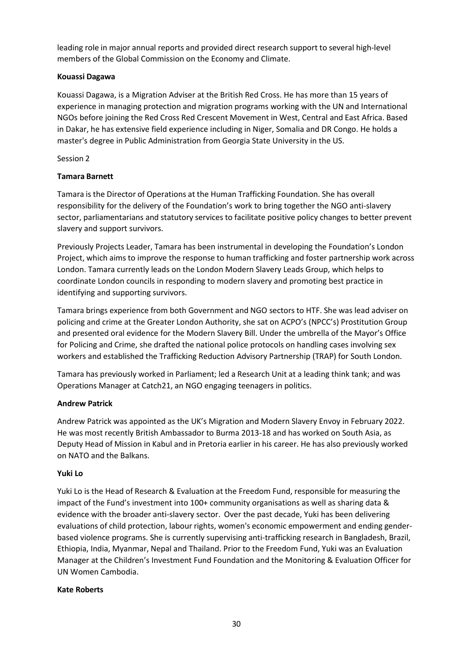leading role in major annual reports and provided direct research support to several high-level members of the Global Commission on the Economy and Climate.

## **Kouassi Dagawa**

Kouassi Dagawa, is a Migration Adviser at the British Red Cross. He has more than 15 years of experience in managing protection and migration programs working with the UN and International NGOs before joining the Red Cross Red Crescent Movement in West, Central and East Africa. Based in Dakar, he has extensive field experience including in Niger, Somalia and DR Congo. He holds a master's degree in Public Administration from Georgia State University in the US.

## Session 2

## **Tamara Barnett**

Tamara is the Director of Operations at the Human Trafficking Foundation. She has overall responsibility for the delivery of the Foundation's work to bring together the NGO anti-slavery sector, parliamentarians and statutory services to facilitate positive policy changes to better prevent slavery and support survivors.

Previously Projects Leader, Tamara has been instrumental in developing the Foundation's London Project, which aims to improve the response to human trafficking and foster partnership work across London. Tamara currently leads on the London Modern Slavery Leads Group, which helps to coordinate London councils in responding to modern slavery and promoting best practice in identifying and supporting survivors.

Tamara brings experience from both Government and NGO sectors to HTF. She was lead adviser on policing and crime at the Greater London Authority, she sat on ACPO's (NPCC's) Prostitution Group and presented oral evidence for the Modern Slavery Bill. Under the umbrella of the Mayor's Office for Policing and Crime, she drafted the national police protocols on handling cases involving sex workers and established the Trafficking Reduction Advisory Partnership (TRAP) for South London.

Tamara has previously worked in Parliament; led a Research Unit at a leading think tank; and was Operations Manager at Catch21, an NGO engaging teenagers in politics.

## **Andrew Patrick**

Andrew Patrick was appointed as the UK's Migration and Modern Slavery Envoy in February 2022. He was most recently British Ambassador to Burma 2013-18 and has worked on South Asia, as Deputy Head of Mission in Kabul and in Pretoria earlier in his career. He has also previously worked on NATO and the Balkans.

## **Yuki Lo**

Yuki Lo is the Head of Research & Evaluation at the Freedom Fund, responsible for measuring the impact of the Fund's investment into 100+ community organisations as well as sharing data & evidence with the broader anti-slavery sector. Over the past decade, Yuki has been delivering evaluations of child protection, labour rights, women's economic empowerment and ending genderbased violence programs. She is currently supervising anti-trafficking research in Bangladesh, Brazil, Ethiopia, India, Myanmar, Nepal and Thailand. Prior to the Freedom Fund, Yuki was an Evaluation Manager at the Children's Investment Fund Foundation and the Monitoring & Evaluation Officer for UN Women Cambodia.

## **Kate Roberts**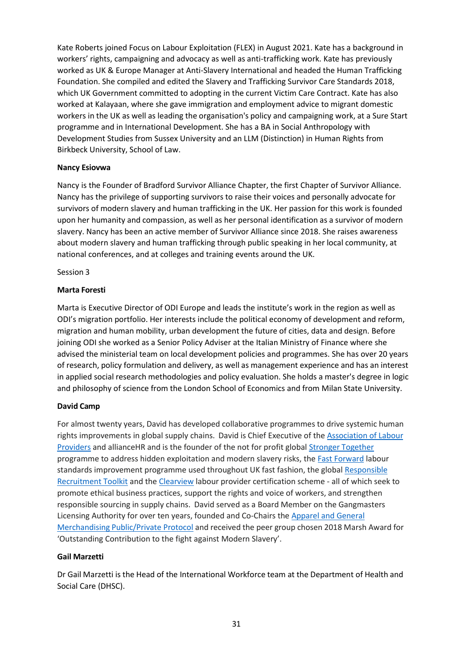Kate Roberts joined Focus on Labour Exploitation (FLEX) in August 2021. Kate has a background in workers' rights, campaigning and advocacy as well as anti-trafficking work. Kate has previously worked as UK & Europe Manager at Anti-Slavery International and headed the Human Trafficking Foundation. She compiled and edited the Slavery and Trafficking Survivor Care Standards 2018, which UK Government committed to adopting in the current Victim Care Contract. Kate has also worked at Kalayaan, where she gave immigration and employment advice to migrant domestic workers in the UK as well as leading the organisation's policy and campaigning work, at a Sure Start programme and in International Development. She has a BA in Social Anthropology with Development Studies from Sussex University and an LLM (Distinction) in Human Rights from Birkbeck University, School of Law.

### **Nancy Esiovwa**

Nancy is the Founder of Bradford Survivor Alliance Chapter, the first Chapter of Survivor Alliance. Nancy has the privilege of supporting survivors to raise their voices and personally advocate for survivors of modern slavery and human trafficking in the UK. Her passion for this work is founded upon her humanity and compassion, as well as her personal identification as a survivor of modern slavery. Nancy has been an active member of Survivor Alliance since 2018. She raises awareness about modern slavery and human trafficking through public speaking in her local community, at national conferences, and at colleges and training events around the UK.

### Session 3

### **Marta Foresti**

Marta is Executive Director of ODI Europe and leads the institute's work in the region as well as ODI's migration portfolio. Her interests include the political economy of development and reform, migration and human mobility, urban development the future of cities, data and design. Before joining ODI she worked as a Senior Policy Adviser at the Italian Ministry of Finance where she advised the ministerial team on local development policies and programmes. She has over 20 years of research, policy formulation and delivery, as well as management experience and has an interest in applied social research methodologies and policy evaluation. She holds a master's degree in logic and philosophy of science from the London School of Economics and from Milan State University.

## **David Camp**

For almost twenty years, David has developed collaborative programmes to drive systemic human rights improvements in global supply chains. David is Chief Executive of th[e Association](https://eur02.safelinks.protection.outlook.com/?url=https%3A%2F%2Flabourproviders.org.uk%2F&data=04%7C01%7Cmcastiglioni%40iom.int%7C36591cc83edb401dde5d08da068f8469%7C1588262d23fb43b4bd6ebce49c8e6186%7C1%7C0%7C637829510735745532%7CUnknown%7CTWFpbGZsb3d8eyJWIjoiMC4wLjAwMDAiLCJQIjoiV2luMzIiLCJBTiI6Ik1haWwiLCJXVCI6Mn0%3D%7C3000&sdata=R4%2B2JIgNjUtIavnMJpEUCsC5mnw%2FIe6SVIWmytpakuE%3D&reserved=0) of Labour [Providers](https://eur02.safelinks.protection.outlook.com/?url=https%3A%2F%2Flabourproviders.org.uk%2F&data=04%7C01%7Cmcastiglioni%40iom.int%7C36591cc83edb401dde5d08da068f8469%7C1588262d23fb43b4bd6ebce49c8e6186%7C1%7C0%7C637829510735745532%7CUnknown%7CTWFpbGZsb3d8eyJWIjoiMC4wLjAwMDAiLCJQIjoiV2luMzIiLCJBTiI6Ik1haWwiLCJXVCI6Mn0%3D%7C3000&sdata=R4%2B2JIgNjUtIavnMJpEUCsC5mnw%2FIe6SVIWmytpakuE%3D&reserved=0) and allianceHR and is the founder of the not for profit global [Stronger Together](https://eur02.safelinks.protection.outlook.com/?url=http%3A%2F%2Fwww.stronger2gether.org%2F&data=04%7C01%7Cmcastiglioni%40iom.int%7C36591cc83edb401dde5d08da068f8469%7C1588262d23fb43b4bd6ebce49c8e6186%7C1%7C0%7C637829510735745532%7CUnknown%7CTWFpbGZsb3d8eyJWIjoiMC4wLjAwMDAiLCJQIjoiV2luMzIiLCJBTiI6Ik1haWwiLCJXVCI6Mn0%3D%7C3000&sdata=YJBxD6LlJSAKuwyvVT%2FnkCsdjDvBV6SGPgfO5J0jbxE%3D&reserved=0) programme to address hidden exploitation and modern slavery risks, the [Fast Forward](https://eur02.safelinks.protection.outlook.com/?url=http%3A%2F%2Fwww.fastforwarduk.org%2F&data=04%7C01%7Cmcastiglioni%40iom.int%7C36591cc83edb401dde5d08da068f8469%7C1588262d23fb43b4bd6ebce49c8e6186%7C1%7C0%7C637829510735745532%7CUnknown%7CTWFpbGZsb3d8eyJWIjoiMC4wLjAwMDAiLCJQIjoiV2luMzIiLCJBTiI6Ik1haWwiLCJXVCI6Mn0%3D%7C3000&sdata=iBHenKieZAIoRS2PTRswytiOAi95cj3yQA%2BfTQOca48%3D&reserved=0) labour standards improvement programme used throughout UK fast fashion, the global [Responsible](https://eur02.safelinks.protection.outlook.com/?url=http%3A%2F%2Fwww.responsiblerecruitmenttoolkit.org%2F&data=04%7C01%7Cmcastiglioni%40iom.int%7C36591cc83edb401dde5d08da068f8469%7C1588262d23fb43b4bd6ebce49c8e6186%7C1%7C0%7C637829510735745532%7CUnknown%7CTWFpbGZsb3d8eyJWIjoiMC4wLjAwMDAiLCJQIjoiV2luMzIiLCJBTiI6Ik1haWwiLCJXVCI6Mn0%3D%7C3000&sdata=4uXHUVqlD4gtFLXlbN0sk3MO%2BYDaMHv1x6cR9Aqa3l0%3D&reserved=0) [Recruitment Toolkit](https://eur02.safelinks.protection.outlook.com/?url=http%3A%2F%2Fwww.responsiblerecruitmenttoolkit.org%2F&data=04%7C01%7Cmcastiglioni%40iom.int%7C36591cc83edb401dde5d08da068f8469%7C1588262d23fb43b4bd6ebce49c8e6186%7C1%7C0%7C637829510735745532%7CUnknown%7CTWFpbGZsb3d8eyJWIjoiMC4wLjAwMDAiLCJQIjoiV2luMzIiLCJBTiI6Ik1haWwiLCJXVCI6Mn0%3D%7C3000&sdata=4uXHUVqlD4gtFLXlbN0sk3MO%2BYDaMHv1x6cR9Aqa3l0%3D&reserved=0) and the [Clearview](https://eur02.safelinks.protection.outlook.com/?url=http%3A%2F%2Fwww.clearviewassurance.com%2F&data=04%7C01%7Cmcastiglioni%40iom.int%7C36591cc83edb401dde5d08da068f8469%7C1588262d23fb43b4bd6ebce49c8e6186%7C1%7C0%7C637829510735745532%7CUnknown%7CTWFpbGZsb3d8eyJWIjoiMC4wLjAwMDAiLCJQIjoiV2luMzIiLCJBTiI6Ik1haWwiLCJXVCI6Mn0%3D%7C3000&sdata=ARM9r%2FiGOjc6DfNKFACuhZ0imAZ9mM5iuMDuxK%2BFGD4%3D&reserved=0) labour provider certification scheme - all of which seek to promote ethical business practices, support the rights and voice of workers, and strengthen responsible sourcing in supply chains. David served as a Board Member on the Gangmasters Licensing Authority for over ten years, founded and Co-Chairs the [Apparel and General](https://eur02.safelinks.protection.outlook.com/?url=https%3A%2F%2Fwww.gla.gov.uk%2Fi-am-a%2Fi-use-workers%2Fapparel-and-general-merchandise-public-private-protocol%2F&data=04%7C01%7Cmcastiglioni%40iom.int%7C36591cc83edb401dde5d08da068f8469%7C1588262d23fb43b4bd6ebce49c8e6186%7C1%7C0%7C637829510735745532%7CUnknown%7CTWFpbGZsb3d8eyJWIjoiMC4wLjAwMDAiLCJQIjoiV2luMzIiLCJBTiI6Ik1haWwiLCJXVCI6Mn0%3D%7C3000&sdata=Ubfr93PW8zo7Honk9XZgPfyanS3R29Fl8JN5T4cYvLg%3D&reserved=0) [Merchandising](https://eur02.safelinks.protection.outlook.com/?url=https%3A%2F%2Fwww.gla.gov.uk%2Fi-am-a%2Fi-use-workers%2Fapparel-and-general-merchandise-public-private-protocol%2F&data=04%7C01%7Cmcastiglioni%40iom.int%7C36591cc83edb401dde5d08da068f8469%7C1588262d23fb43b4bd6ebce49c8e6186%7C1%7C0%7C637829510735745532%7CUnknown%7CTWFpbGZsb3d8eyJWIjoiMC4wLjAwMDAiLCJQIjoiV2luMzIiLCJBTiI6Ik1haWwiLCJXVCI6Mn0%3D%7C3000&sdata=Ubfr93PW8zo7Honk9XZgPfyanS3R29Fl8JN5T4cYvLg%3D&reserved=0) Public/Private Protocol and received the peer group chosen 2018 Marsh Award for 'Outstanding Contribution to the fight against Modern Slavery'.

#### **Gail Marzetti**

Dr Gail Marzetti is the Head of the International Workforce team at the Department of Health and Social Care (DHSC).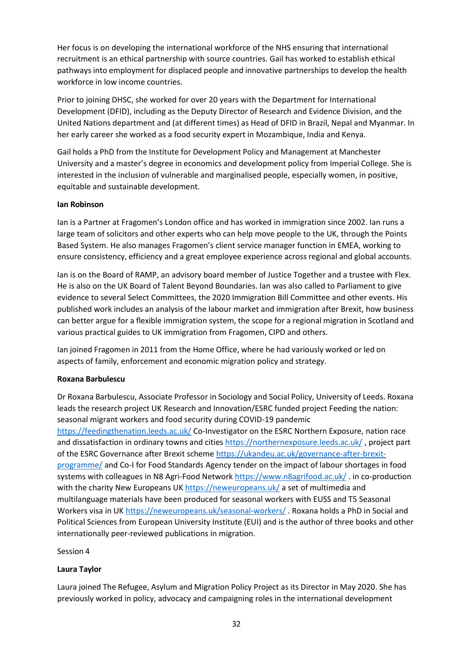Her focus is on developing the international workforce of the NHS ensuring that international recruitment is an ethical partnership with source countries. Gail has worked to establish ethical pathways into employment for displaced people and innovative partnerships to develop the health workforce in low income countries.

Prior to joining DHSC, she worked for over 20 years with the Department for International Development (DFID), including as the Deputy Director of Research and Evidence Division, and the United Nations department and (at different times) as Head of DFID in Brazil, Nepal and Myanmar. In her early career she worked as a food security expert in Mozambique, India and Kenya.

Gail holds a PhD from the Institute for Development Policy and Management at Manchester University and a master's degree in economics and development policy from Imperial College. She is interested in the inclusion of vulnerable and marginalised people, especially women, in positive, equitable and sustainable development.

## **Ian Robinson**

Ian is a Partner at Fragomen's London office and has worked in immigration since 2002. Ian runs a large team of solicitors and other experts who can help move people to the UK, through the Points Based System. He also manages Fragomen's client service manager function in EMEA, working to ensure consistency, efficiency and a great employee experience across regional and global accounts.

Ian is on the Board of RAMP, an advisory board member of Justice Together and a trustee with Flex. He is also on the UK Board of Talent Beyond Boundaries. Ian was also called to Parliament to give evidence to several Select Committees, the 2020 Immigration Bill Committee and other events. His published work includes an analysis of the labour market and immigration after Brexit, how business can better argue for a flexible immigration system, the scope for a regional migration in Scotland and various practical guides to UK immigration from Fragomen, CIPD and others.

Ian joined Fragomen in 2011 from the Home Office, where he had variously worked or led on aspects of family, enforcement and economic migration policy and strategy.

## **Roxana Barbulescu**

Dr Roxana Barbulescu, Associate Professor in Sociology and Social Policy, University of Leeds. Roxana leads the research project UK Research and Innovation/ESRC funded project Feeding the nation: seasonal migrant workers and food security during COVID-19 pandemic [https://feedingthenation.leeds.ac.uk/](https://eur02.safelinks.protection.outlook.com/?url=https%3A%2F%2Ffeedingthenation.leeds.ac.uk%2F&data=04%7C01%7Cmcastiglioni%40iom.int%7C69a4140d7605486e7b4a08da074932bc%7C1588262d23fb43b4bd6ebce49c8e6186%7C1%7C0%7C637830309101886359%7CUnknown%7CTWFpbGZsb3d8eyJWIjoiMC4wLjAwMDAiLCJQIjoiV2luMzIiLCJBTiI6Ik1haWwiLCJXVCI6Mn0%3D%7C1000&sdata=oUh2y7NLfaNDxQ60eSJU3%2FisYypihWH%2BtvaIUx8eDtc%3D&reserved=0) Co-Investigator on the ESRC Northern Exposure, nation race and dissatisfaction in ordinary towns and citie[s https://northernexposure.leeds.ac.uk/](https://eur02.safelinks.protection.outlook.com/?url=https%3A%2F%2Fnorthernexposure.leeds.ac.uk%2F&data=04%7C01%7Cmcastiglioni%40iom.int%7C69a4140d7605486e7b4a08da074932bc%7C1588262d23fb43b4bd6ebce49c8e6186%7C1%7C0%7C637830309101886359%7CUnknown%7CTWFpbGZsb3d8eyJWIjoiMC4wLjAwMDAiLCJQIjoiV2luMzIiLCJBTiI6Ik1haWwiLCJXVCI6Mn0%3D%7C1000&sdata=7Uf6UM5yB00uVxpGXz3OU2FKSImtlH9b9FmA6jth6S8%3D&reserved=0) , project part of the ESRC Governance after Brexit scheme [https://ukandeu.ac.uk/governance-after-brexit](https://eur02.safelinks.protection.outlook.com/?url=https%3A%2F%2Fukandeu.ac.uk%2Fgovernance-after-brexit-programme%2F&data=04%7C01%7Cmcastiglioni%40iom.int%7C69a4140d7605486e7b4a08da074932bc%7C1588262d23fb43b4bd6ebce49c8e6186%7C1%7C0%7C637830309101886359%7CUnknown%7CTWFpbGZsb3d8eyJWIjoiMC4wLjAwMDAiLCJQIjoiV2luMzIiLCJBTiI6Ik1haWwiLCJXVCI6Mn0%3D%7C1000&sdata=j5%2BdeEEK9qJhuU3yt%2F%2FNmiIYh5lfY8eDpBxqjuW7v4E%3D&reserved=0)[programme/](https://eur02.safelinks.protection.outlook.com/?url=https%3A%2F%2Fukandeu.ac.uk%2Fgovernance-after-brexit-programme%2F&data=04%7C01%7Cmcastiglioni%40iom.int%7C69a4140d7605486e7b4a08da074932bc%7C1588262d23fb43b4bd6ebce49c8e6186%7C1%7C0%7C637830309101886359%7CUnknown%7CTWFpbGZsb3d8eyJWIjoiMC4wLjAwMDAiLCJQIjoiV2luMzIiLCJBTiI6Ik1haWwiLCJXVCI6Mn0%3D%7C1000&sdata=j5%2BdeEEK9qJhuU3yt%2F%2FNmiIYh5lfY8eDpBxqjuW7v4E%3D&reserved=0) and Co-I for Food Standards Agency tender on the impact of labour shortages in food systems with colleagues in N8 Agri-Food Networ[k https://www.n8agrifood.ac.uk/](https://eur02.safelinks.protection.outlook.com/?url=https%3A%2F%2Fwww.n8agrifood.ac.uk%2F&data=04%7C01%7Cmcastiglioni%40iom.int%7C69a4140d7605486e7b4a08da074932bc%7C1588262d23fb43b4bd6ebce49c8e6186%7C1%7C0%7C637830309101886359%7CUnknown%7CTWFpbGZsb3d8eyJWIjoiMC4wLjAwMDAiLCJQIjoiV2luMzIiLCJBTiI6Ik1haWwiLCJXVCI6Mn0%3D%7C1000&sdata=PkUp6jak%2BcT6BFjqbzowLpQhAz7COeDpSCm693DLQwo%3D&reserved=0). in co-production with the charity New Europeans UK [https://neweuropeans.uk/](https://eur02.safelinks.protection.outlook.com/?url=https%3A%2F%2Fneweuropeans.uk%2F&data=04%7C01%7Cmcastiglioni%40iom.int%7C69a4140d7605486e7b4a08da074932bc%7C1588262d23fb43b4bd6ebce49c8e6186%7C1%7C0%7C637830309101886359%7CUnknown%7CTWFpbGZsb3d8eyJWIjoiMC4wLjAwMDAiLCJQIjoiV2luMzIiLCJBTiI6Ik1haWwiLCJXVCI6Mn0%3D%7C1000&sdata=QokqP2aDwncuqZ%2BmnDX39U15BHh6a6mlk4QAclNTWvg%3D&reserved=0) a set of multimedia and multilanguage materials have been produced for seasonal workers with EUSS and T5 Seasonal Workers visa in UK [https://neweuropeans.uk/seasonal-workers/](https://eur02.safelinks.protection.outlook.com/?url=https%3A%2F%2Fneweuropeans.uk%2Fseasonal-workers%2F&data=04%7C01%7Cmcastiglioni%40iom.int%7C69a4140d7605486e7b4a08da074932bc%7C1588262d23fb43b4bd6ebce49c8e6186%7C1%7C0%7C637830309101886359%7CUnknown%7CTWFpbGZsb3d8eyJWIjoiMC4wLjAwMDAiLCJQIjoiV2luMzIiLCJBTiI6Ik1haWwiLCJXVCI6Mn0%3D%7C1000&sdata=OaV%2FdvhX8vp8VrMQ4K%2FDJJcWf2KD2%2FdkU%2BXnxsNKeD4%3D&reserved=0) . Roxana holds a PhD in Social and Political Sciences from European University Institute (EUI) and is the author of three books and other internationally peer-reviewed publications in migration.

Session 4

#### **Laura Taylor**

Laura joined The Refugee, Asylum and Migration Policy Project as its Director in May 2020. She has previously worked in policy, advocacy and campaigning roles in the international development